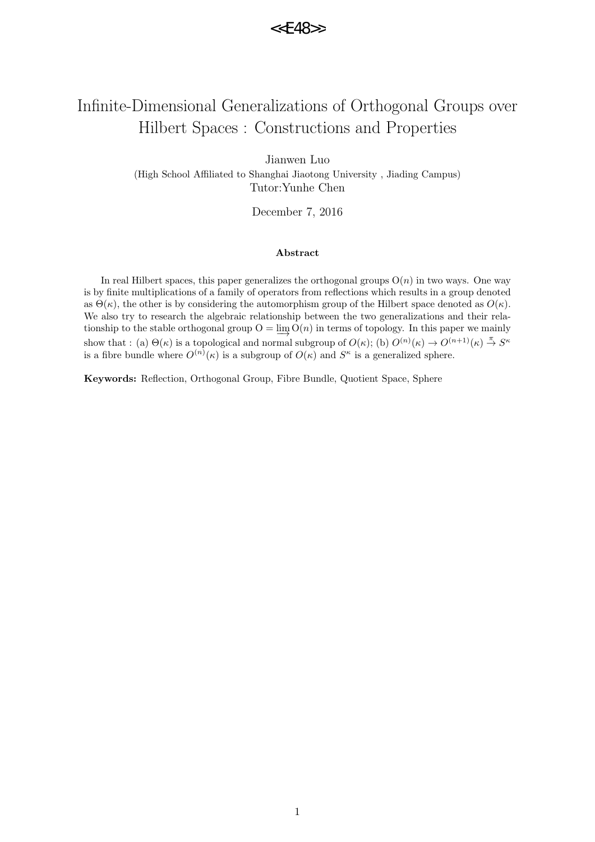# Infinite-Dimensional Generalizations of Orthogonal Groups over Hilbert Spaces : Constructions and Properties

Jianwen Luo (High School Affiliated to Shanghai Jiaotong University , Jiading Campus) Tutor:Yunhe Chen

December 7, 2016

#### **Abstract**

In real Hilbert spaces, this paper generalizes the orthogonal groups  $O(n)$  in two ways. One way is by finite multiplications of a family of operators from reflections which results in a group denoted as  $\Theta(\kappa)$ , the other is by considering the automorphism group of the Hilbert space denoted as  $O(\kappa)$ . We also try to research the algebraic relationship between the two generalizations and their relationship to the stable orthogonal group  $O = \varinjlim O(n)$  in terms of topology. In this paper we mainly show that : (a)  $\Theta(\kappa)$  is a topological and normal subgroup of  $O(\kappa)$ ; (b)  $O^{(n)}(\kappa) \to O^{(n+1)}(\kappa) \stackrel{\pi}{\to} S^{\kappa}$ is a fibre bundle where  $O^{(n)}(\kappa)$  is a subgroup of  $O(\kappa)$  and  $S^{\kappa}$  is a generalized sphere.

**Keywords:** Reflection, Orthogonal Group, Fibre Bundle, Quotient Space, Sphere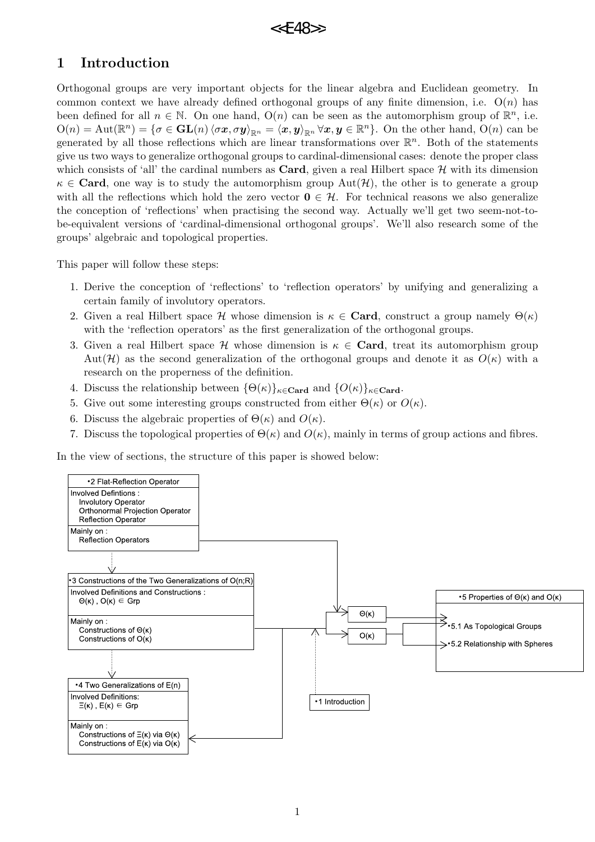# **1 Introduction**

Orthogonal groups are very important objects for the linear algebra and Euclidean geometry. In common context we have already defined orthogonal groups of any finite dimension, i.e. O(*n*) has been defined for all  $n \in \mathbb{N}$ . On one hand,  $O(n)$  can be seen as the automorphism group of  $\mathbb{R}^n$ , i.e.  $O(n) = Aut(\mathbb{R}^n) = \{ \sigma \in GL(n) \langle \sigma x, \sigma y \rangle_{\mathbb{R}^n} = \langle x, y \rangle_{\mathbb{R}^n} \forall x, y \in \mathbb{R}^n \}.$  On the other hand,  $O(n)$  can be generated by all those reflections which are linear transformations over R *n* . Both of the statements give us two ways to generalize orthogonal groups to cardinal-dimensional cases: denote the proper class which consists of 'all' the cardinal numbers as **Card**, given a real Hilbert space  $H$  with its dimension  $\kappa \in \mathbf{Card}$ , one way is to study the automorphism group  $\mathrm{Aut}(\mathcal{H})$ , the other is to generate a group with all the reflections which hold the zero vector  $\mathbf{0} \in \mathcal{H}$ . For technical reasons we also generalize the conception of 'reflections' when practising the second way. Actually we'll get two seem-not-tobe-equivalent versions of 'cardinal-dimensional orthogonal groups'. We'll also research some of the groups' algebraic and topological properties.

This paper will follow these steps:

- 1. Derive the conception of 'reflections' to 'reflection operators' by unifying and generalizing a certain family of involutory operators.
- 2. Given a real Hilbert space *H* whose dimension is  $\kappa \in \mathbf{Card}$ , construct a group namely  $\Theta(\kappa)$ with the 'reflection operators' as the first generalization of the orthogonal groups.
- 3. Given a real Hilbert space *H* whose dimension is *κ ∈* **Card**, treat its automorphism group Aut( $\mathcal{H}$ ) as the second generalization of the orthogonal groups and denote it as  $O(\kappa)$  with a research on the properness of the definition.
- 4. Discuss the relationship between  $\{\Theta(\kappa)\}_\kappa \in \mathbf{Card}$  and  $\{O(\kappa)\}_\kappa \in \mathbf{Card}$ .
- 5. Give out some interesting groups constructed from either  $\Theta(\kappa)$  or  $O(\kappa)$ .
- 6. Discuss the algebraic properties of  $\Theta(\kappa)$  and  $O(\kappa)$ .
- 7. Discuss the topological properties of  $\Theta(\kappa)$  and  $O(\kappa)$ , mainly in terms of group actions and fibres.

In the view of sections, the structure of this paper is showed below:

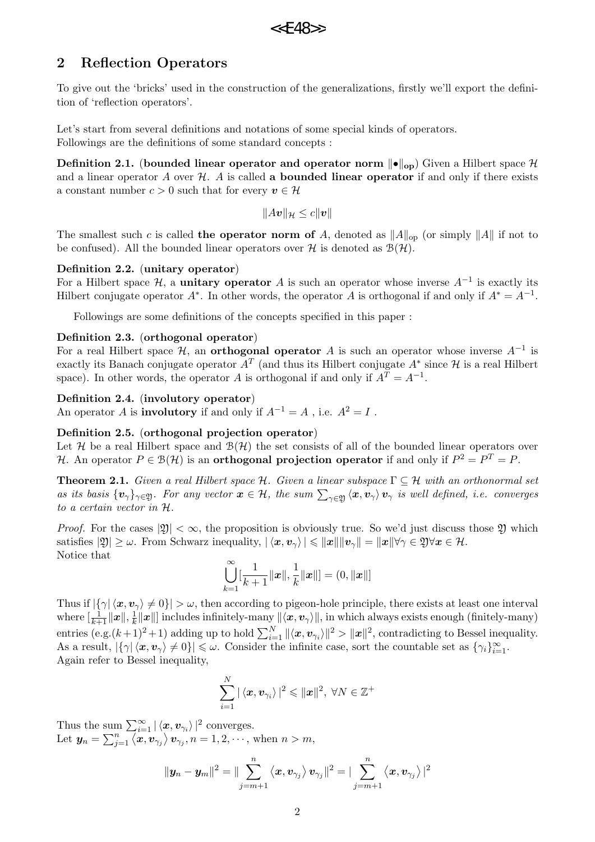# **2 Reflection Operators**

To give out the 'bricks' used in the construction of the generalizations, firstly we'll export the definition of 'reflection operators'.

Let's start from several definitions and notations of some special kinds of operators. Followings are the definitions of some standard concepts :

**Definition 2.1.** (**bounded linear operator and operator norm** *∥•∥***op**) Given a Hilbert space *H* and a linear operator  $A$  over  $H$ .  $A$  is called **a bounded linear operator** if and only if there exists a constant number  $c > 0$  such that for every  $v \in \mathcal{H}$ 

 $||Av||_{\mathcal{H}} \leq c||v||$ 

The smallest such *c* is called **the operator norm of** *A*, denoted as  $||A||_{op}$  (or simply  $||A||$  if not to be confused). All the bounded linear operators over  $H$  is denoted as  $B(H)$ .

## **Definition 2.2.** (**unitary operator**)

For a Hilbert space *H*, a **unitary operator** *A* is such an operator whose inverse *A−*<sup>1</sup> is exactly its Hilbert conjugate operator  $A^*$ . In other words, the operator  $A$  is orthogonal if and only if  $A^* = A^{-1}$ .

Followings are some definitions of the concepts specified in this paper :

## **Definition 2.3.** (**orthogonal operator**)

For a real Hilbert space *H*, an **orthogonal operator** *A* is such an operator whose inverse *A−*<sup>1</sup> is exactly its Banach conjugate operator  $A^T$  (and thus its Hilbert conjugate  $A^*$  since  $\mathcal H$  is a real Hilbert space). In other words, the operator *A* is orthogonal if and only if  $A<sup>T</sup> = A<sup>-1</sup>$ .

## **Definition 2.4.** (**involutory operator**)

An operator *A* is **involutory** if and only if  $A^{-1} = A$ , i.e.  $A^2 = I$ .

### **Definition 2.5.** (**orthogonal projection operator**)

Let  $H$  be a real Hilbert space and  $B(H)$  the set consists of all of the bounded linear operators over *H*. An operator  $P \in \mathcal{B}(\mathcal{H})$  is an **orthogonal projection operator** if and only if  $P^2 = P^T = P$ .

**Theorem 2.1.** *Given a real Hilbert space*  $H$ *. Given a linear subspace*  $\Gamma \subseteq H$  *with an orthonormal set* as its basis  $\{v_\gamma\}_{\gamma\in\mathfrak{Y}}$ . For any vector  $x\in\mathcal{H}$ , the sum  $\sum_{\gamma\in\mathfrak{Y}}\langle x,v_\gamma\rangle v_\gamma$  is well defined, i.e. converges *to a certain vector in H.*

*Proof.* For the cases  $|\mathfrak{Y}| < \infty$ , the proposition is obviously true. So we'd just discuss those  $\mathfrak{Y}$  which satisfies  $|\mathfrak{Y}| \geq \omega$ . From Schwarz inequality,  $|\langle x, v_{\gamma} \rangle| \leq ||x|| ||v_{\gamma}|| = ||x|| \forall \gamma \in \mathfrak{Y} \forall x \in \mathcal{H}$ . Notice that

$$
\bigcup_{k=1}^{\infty} [\frac{1}{k+1} ||\boldsymbol{x}||, \frac{1}{k} ||\boldsymbol{x}||] = (0, ||\boldsymbol{x}||]
$$

Thus if  $|\{\gamma | \langle x, v_{\gamma} \rangle \neq 0\}| > \omega$ , then according to pigeon-hole principle, there exists at least one interval where  $[\frac{1}{k+1}\|\boldsymbol{x}\|, \frac{1}{k}$  $\frac{1}{k}$ *∥* $x$ *∥*] includes infinitely-many  $\|\langle x, v_\gamma \rangle$ *∥*, in which always exists enough (finitely-many)  $\text{entries } (\text{e.g.}(k+1)^2+1) \text{ adding up to hold } \sum_{i=1}^{N} ||\langle \boldsymbol{x}, \boldsymbol{v}_{\gamma_i} \rangle||^2 > ||\boldsymbol{x}||^2, \text{ contradicting to Bessel inequality.}$ As a result,  $|\{\gamma | \langle x, v_{\gamma} \rangle \neq 0\}| \leq \omega$ . Consider the infinite case, sort the countable set as  $\{\gamma_i\}_{i=1}^{\infty}$ . Again refer to Bessel inequality,

$$
\sum_{i=1}^N |\left\langle \boldsymbol{x}, \boldsymbol{v}_{\gamma_i} \right\rangle|^2 \leqslant ||\boldsymbol{x}||^2, \; \forall N \in \mathbb{Z}^+
$$

Thus the sum  $\sum_{i=1}^{\infty} |\langle \mathbf{x}, \mathbf{v}_{\gamma_i} \rangle|^2$  converges. Let  $y_n = \sum_{j=1}^n \langle x, v_{\gamma_j} \rangle v_{\gamma_j}, n = 1, 2, \dots$ , when  $n > m$ ,

$$
\|\boldsymbol{y}_n-\boldsymbol{y}_m\|^2=\|\sum_{j=m+1}^n\left\langle \boldsymbol{x},\boldsymbol{v}_{\gamma_j}\right\rangle \boldsymbol{v}_{\gamma_j}\|^2=\|\sum_{j=m+1}^n\left\langle \boldsymbol{x},\boldsymbol{v}_{\gamma_j}\right\rangle|^2
$$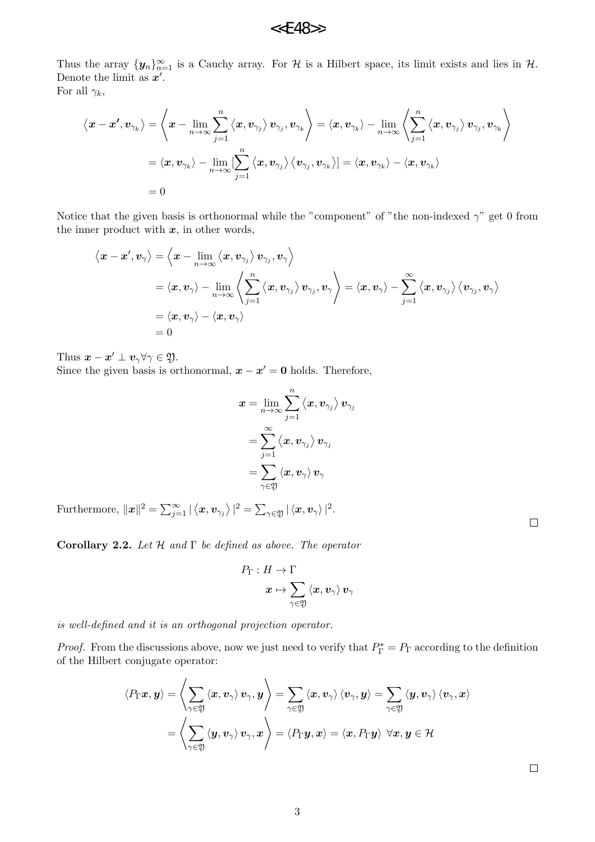Thus the array  ${\{y_n\}}_{n=1}^{\infty}$  is a Cauchy array. For *H* is a Hilbert space, its limit exists and lies in *H*. Denote the limit as *x ′* .

For all  $\gamma_k$ ,

$$
\left\langle \boldsymbol{x}-\boldsymbol{x'},\boldsymbol{v}_{\gamma_k} \right\rangle=\left\langle \boldsymbol{x}-\lim_{n\rightarrow\infty}\sum_{j=1}^n\left\langle \boldsymbol{x},\boldsymbol{v}_{\gamma_j}\right\rangle \boldsymbol{v}_{\gamma_j},\boldsymbol{v}_{\gamma_k} \right\rangle=\left\langle \boldsymbol{x},\boldsymbol{v}_{\gamma_k}\right\rangle-\lim_{n\rightarrow\infty}\left\langle \sum_{j=1}^n\left\langle \boldsymbol{x},\boldsymbol{v}_{\gamma_j}\right\rangle \boldsymbol{v}_{\gamma_j},\boldsymbol{v}_{\gamma_k} \right\rangle\\=\left\langle \boldsymbol{x},\boldsymbol{v}_{\gamma_k}\right\rangle-\lim_{n\rightarrow\infty}[\sum_{j=1}^n\left\langle \boldsymbol{x},\boldsymbol{v}_{\gamma_j}\right\rangle \left\langle \boldsymbol{v}_{\gamma_j},\boldsymbol{v}_{\gamma_k}\right\rangle]=\left\langle \boldsymbol{x},\boldsymbol{v}_{\gamma_k}\right\rangle-\left\langle \boldsymbol{x},\boldsymbol{v}_{\gamma_k}\right\rangle\\=0
$$

Notice that the given basis is orthonormal while the "component" of "the non-indexed  $\gamma$ " get 0 from the inner product with  $x$ , in other words,

$$
\langle \boldsymbol{x} - \boldsymbol{x}', \boldsymbol{v}_{\gamma} \rangle = \langle \boldsymbol{x} - \lim_{n \to \infty} \langle \boldsymbol{x}, \boldsymbol{v}_{\gamma_j} \rangle \boldsymbol{v}_{\gamma_j}, \boldsymbol{v}_{\gamma} \rangle
$$
  
\n
$$
= \langle \boldsymbol{x}, \boldsymbol{v}_{\gamma} \rangle - \lim_{n \to \infty} \langle \sum_{j=1}^n \langle \boldsymbol{x}, \boldsymbol{v}_{\gamma_j} \rangle \boldsymbol{v}_{\gamma_j}, \boldsymbol{v}_{\gamma} \rangle = \langle \boldsymbol{x}, \boldsymbol{v}_{\gamma} \rangle - \sum_{j=1}^\infty \langle \boldsymbol{x}, \boldsymbol{v}_{\gamma_j} \rangle \langle \boldsymbol{v}_{\gamma_j}, \boldsymbol{v}_{\gamma} \rangle
$$
  
\n
$$
= \langle \boldsymbol{x}, \boldsymbol{v}_{\gamma} \rangle - \langle \boldsymbol{x}, \boldsymbol{v}_{\gamma} \rangle
$$
  
\n
$$
= 0
$$

Thus  $\mathbf{x} - \mathbf{x}' \perp \mathbf{v}_{\gamma} \forall \gamma \in \mathfrak{Y}$ .

Since the given basis is orthonormal,  $x - x' = 0$  holds. Therefore,

$$
\begin{aligned} \boldsymbol{x} &= \lim_{n \to \infty} \sum_{j=1}^n \left\langle \boldsymbol{x}, \boldsymbol{v}_{\gamma_j} \right\rangle \boldsymbol{v}_{\gamma_j} \\ &= \sum_{j=1}^\infty \left\langle \boldsymbol{x}, \boldsymbol{v}_{\gamma_j} \right\rangle \boldsymbol{v}_{\gamma_j} \\ &= \sum_{\gamma \in \mathfrak{Y}} \left\langle \boldsymbol{x}, \boldsymbol{v}_{\gamma} \right\rangle \boldsymbol{v}_{\gamma} \end{aligned}
$$

 $\text{Furthermore, } \|\boldsymbol{x}\|^2 = \sum_{j=1}^{\infty} |\langle \boldsymbol{x}, \boldsymbol{v}_{\gamma_j} \rangle|^2 = \sum_{\gamma \in \mathfrak{Y}} |\langle \boldsymbol{x}, \boldsymbol{v}_{\gamma} \rangle|^2.$ 

**Corollary 2.2.** *Let H and* Γ *be defined as above. The operator*

$$
\begin{aligned} P_{\Gamma}: H &\rightarrow \Gamma \\ x &\mapsto \sum_{\gamma \in \mathfrak{Y}} \left\langle x, v_{\gamma} \right\rangle v_{\gamma} \end{aligned}
$$

*is well-defined and it is an orthogonal projection operator.*

*Proof.* From the discussions above, now we just need to verify that  $P_{\Gamma}^* = P_{\Gamma}$  according to the definition of the Hilbert conjugate operator:

$$
\langle P_{\Gamma} x, y \rangle = \left\langle \sum_{\gamma \in \mathfrak{Y}} \langle x, v_{\gamma} \rangle v_{\gamma}, y \right\rangle = \sum_{\gamma \in \mathfrak{Y}} \langle x, v_{\gamma} \rangle \langle v_{\gamma}, y \rangle = \sum_{\gamma \in \mathfrak{Y}} \langle y, v_{\gamma} \rangle \langle v_{\gamma}, x \rangle
$$

$$
= \left\langle \sum_{\gamma \in \mathfrak{Y}} \langle y, v_{\gamma} \rangle v_{\gamma}, x \right\rangle = \langle P_{\Gamma} y, x \rangle = \langle x, P_{\Gamma} y \rangle \ \forall x, y \in \mathcal{H}
$$

 $\Box$ 

 $\Box$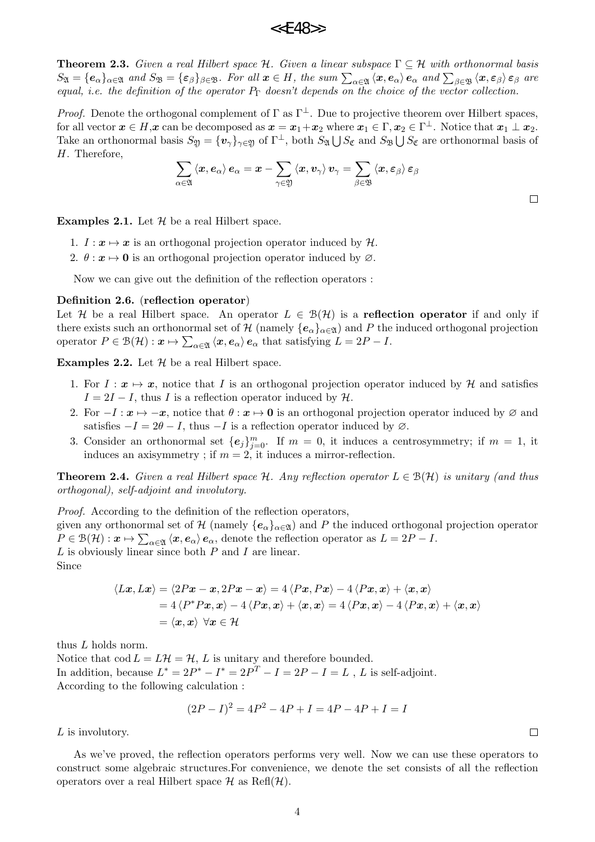**Theorem 2.3.** *Given a real Hilbert space H. Given a linear subspace* Γ *⊆ H with orthonormal basis*  $S_{\mathfrak{A}} = \{e_{\alpha}\}_{{\alpha \in \mathfrak{A}}}$  and  $S_{\mathfrak{B}} = \{\varepsilon_{\beta}\}_{{\beta \in \mathfrak{B}}}$ . For all  $\boldsymbol{x} \in H$ , the sum  $\sum_{{\alpha \in \mathfrak{A}}} \langle \boldsymbol{x}, \boldsymbol{e}_{\alpha} \rangle \boldsymbol{e}_{\alpha}$  and  $\sum_{{\beta \in \mathfrak{B}}} \langle \boldsymbol{x}, \boldsymbol{\varepsilon}_{\beta} \rangle \boldsymbol{\varepsilon}_{\beta}$  are *equal, i.e. the definition of the operator P*<sup>Γ</sup> *doesn't depends on the choice of the vector collection.*

*Proof.* Denote the orthogonal complement of  $\Gamma$  as  $\Gamma^{\perp}$ . Due to projective theorem over Hilbert spaces, for all vector  $x \in H$ , $x$  can be decomposed as  $x = x_1 + x_2$  where  $x_1 \in \Gamma$ ,  $x_2 \in \Gamma^{\perp}$ . Notice that  $x_1 \perp x_2$ . Take an orthonormal basis  $S_{\mathfrak{Y}} = {\{v_\gamma\}}_{\gamma \in \mathfrak{Y}}$  of  $\Gamma^{\perp}$ , both  $S_{\mathfrak{A}} \bigcup S_{\mathfrak{C}}$  and  $S_{\mathfrak{B}} \bigcup S_{\mathfrak{C}}$  are orthonormal basis of *H*. Therefore,

$$
\sum_{\alpha\in\mathfrak{A}}\left\langle \boldsymbol{x},\boldsymbol{e}_{\alpha}\right\rangle \boldsymbol{e}_{\alpha}=\boldsymbol{x}-\sum_{\gamma\in\mathfrak{Y}}\left\langle \boldsymbol{x},\boldsymbol{v}_{\gamma}\right\rangle \boldsymbol{v}_{\gamma}=\sum_{\beta\in\mathfrak{B}}\left\langle \boldsymbol{x},\boldsymbol{\varepsilon}_{\beta}\right\rangle \boldsymbol{\varepsilon}_{\beta}
$$

**Examples 2.1.** Let *H* be a real Hilbert space.

- 1.  $I: \mathbf{x} \mapsto \mathbf{x}$  is an orthogonal projection operator induced by  $\mathcal{H}$ .
- 2.  $\theta: \mathbf{x} \mapsto \mathbf{0}$  is an orthogonal projection operator induced by  $\varnothing$ .

Now we can give out the definition of the reflection operators :

### **Definition 2.6.** (**reflection operator**)

Let *H* be a real Hilbert space. An operator  $L \in \mathcal{B}(\mathcal{H})$  is a **reflection operator** if and only if there exists such an orthonormal set of *H* (namely  ${e_{\alpha}}_{\alpha \in \mathfrak{A}}$ ) and *P* the induced orthogonal projection  $\Omega$   $P \in \mathcal{B}(\mathcal{H}) : \mathbf{x} \mapsto \sum_{\alpha \in \mathfrak{A}} \langle \mathbf{x}, \mathbf{e}_{\alpha} \rangle \mathbf{e}_{\alpha}$  that satisfying  $L = 2P - I$ .

**Examples 2.2.** Let  $H$  be a real Hilbert space.

- 1. For  $I: \mathbf{x} \mapsto \mathbf{x}$ , notice that *I* is an orthogonal projection operator induced by  $\mathcal{H}$  and satisfies  $I = 2I - I$ , thus *I* is a reflection operator induced by  $H$ .
- 2. For  $-I: x \mapsto -x$ , notice that  $\theta: x \mapsto 0$  is an orthogonal projection operator induced by ∅ and satisfies  $-I = 2\theta - I$ , thus  $-I$  is a reflection operator induced by  $\varnothing$ .
- 3. Consider an orthonormal set  ${e_j}_{j=0}^m$ . If  $m = 0$ , it induces a centrosymmetry; if  $m = 1$ , it induces an axisymmetry; if  $m = 2$ , it induces a mirror-reflection.

**Theorem 2.4.** *Given a real Hilbert space*  $H$ *. Any reflection operator*  $L \in \mathcal{B}(\mathcal{H})$  *is unitary (and thus orthogonal), self-adjoint and involutory.*

*Proof.* According to the definition of the reflection operators, given any orthonormal set of  $H$  (namely  ${e_{\alpha}}_{\alpha \in \mathfrak{A}}$ ) and P the induced orthogonal projection operator  $P \in \mathcal{B}(\mathcal{H}) : \mathbf{x} \mapsto \sum_{\alpha \in \mathfrak{A}} \langle \mathbf{x}, \mathbf{e}_{\alpha} \rangle \mathbf{e}_{\alpha}$ , denote the reflection operator as  $L = 2P - I$ . *L* is obviously linear since both *P* and *I* are linear. Since

$$
\langle Lx, Lx \rangle = \langle 2Px - x, 2Px - x \rangle = 4 \langle Px, Px \rangle - 4 \langle Px, x \rangle + \langle x, x \rangle
$$
  
= 4  $\langle P^*Px, x \rangle - 4 \langle Px, x \rangle + \langle x, x \rangle = 4 \langle Px, x \rangle - 4 \langle Px, x \rangle + \langle x, x \rangle$   
=  $\langle x, x \rangle \ \forall x \in \mathcal{H}$ 

thus *L* holds norm.

Notice that  $\text{cod } L = L\mathcal{H} = \mathcal{H}$ , *L* is unitary and therefore bounded. In addition, because  $L^* = 2P^* - I^* = 2P^T - I = 2P - I = L$ , *L* is self-adjoint. According to the following calculation :

$$
(2P - I)^2 = 4P^2 - 4P + I = 4P - 4P + I = I
$$

*L* is involutory.

As we've proved, the reflection operators performs very well. Now we can use these operators to construct some algebraic structures.For convenience, we denote the set consists of all the reflection operators over a real Hilbert space  $\mathcal H$  as Refl $(\mathcal H)$ .

 $\Box$ 

 $\Box$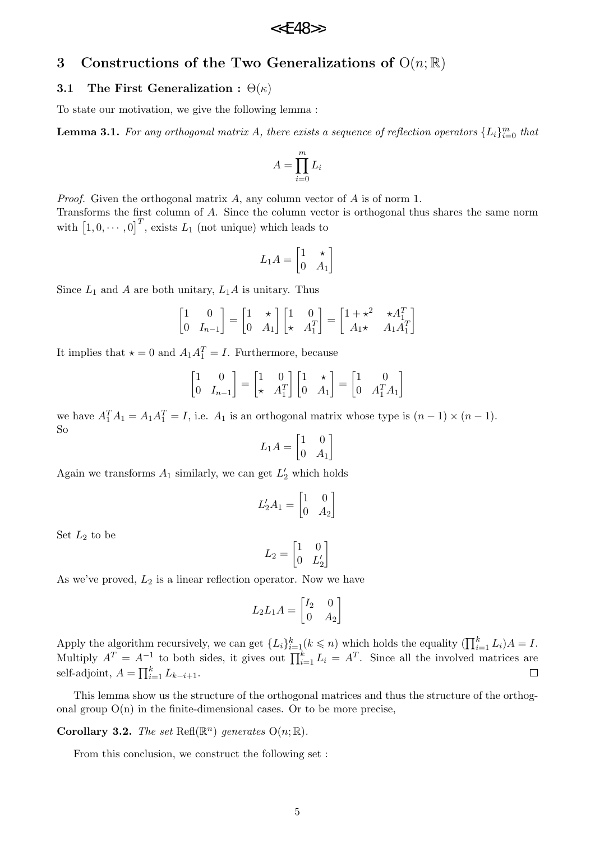# **3 Constructions of the Two Generalizations of** O(*n*; R)

#### **3.1 The First Generalization :** Θ(*κ*)

To state our motivation, we give the following lemma :

**Lemma 3.1.** For any orthogonal matrix A, there exists a sequence of reflection operators  $\{L_i\}_{i=0}^m$  that

$$
A = \prod_{i=0}^{m} L_i
$$

*Proof.* Given the orthogonal matrix *A*, any column vector of *A* is of norm 1. Transforms the first column of *A*. Since the column vector is orthogonal thus shares the same norm with  $\left[1, 0, \cdots, 0\right]^T$ , exists  $L_1$  (not unique) which leads to

$$
L_1 A = \begin{bmatrix} 1 & \star \\ 0 & A_1 \end{bmatrix}
$$

Since  $L_1$  and  $A$  are both unitary,  $L_1A$  is unitary. Thus

$$
\begin{bmatrix} 1 & 0 \ 0 & I_{n-1} \end{bmatrix} = \begin{bmatrix} 1 & \star \\ 0 & A_1 \end{bmatrix} \begin{bmatrix} 1 & 0 \\ \star & A_1^T \end{bmatrix} = \begin{bmatrix} 1 + \star^2 & \star A_1^T \\ A_1 \star & A_1 A_1^T \end{bmatrix}
$$

It implies that  $\star = 0$  and  $A_1 A_1^T = I$ . Furthermore, because

$$
\begin{bmatrix} 1 & 0 \ 0 & I_{n-1} \end{bmatrix} = \begin{bmatrix} 1 & 0 \ \star & A_1^T \end{bmatrix} \begin{bmatrix} 1 & \star \\ 0 & A_1 \end{bmatrix} = \begin{bmatrix} 1 & 0 \\ 0 & A_1^T A_1 \end{bmatrix}
$$

we have  $A_1^T A_1 = A_1 A_1^T = I$ , i.e.  $A_1$  is an orthogonal matrix whose type is  $(n-1) \times (n-1)$ . So

$$
L_1 A = \begin{bmatrix} 1 & 0 \\ 0 & A_1 \end{bmatrix}
$$

Again we transforms  $A_1$  similarly, we can get  $L'_2$  which holds

$$
L_2'A_1 = \begin{bmatrix} 1 & 0 \\ 0 & A_2 \end{bmatrix}
$$

Set  $L_2$  to be

$$
L_2 = \begin{bmatrix} 1 & 0 \\ 0 & L'_2 \end{bmatrix}
$$

As we've proved,  $L_2$  is a linear reflection operator. Now we have

$$
L_2 L_1 A = \begin{bmatrix} I_2 & 0 \\ 0 & A_2 \end{bmatrix}
$$

Apply the algorithm recursively, we can get  $\{L_i\}_{i=1}^k (k \leqslant n)$  which holds the equality  $(\prod_{i=1}^k L_i)A = I$ . Multiply  $A^T = A^{-1}$  to both sides, it gives out  $\prod_{i=1}^k L_i = A^T$ . Since all the involved matrices are self-adjoint,  $A = \prod_{i=1}^{k} L_{k-i+1}$ .

This lemma show us the structure of the orthogonal matrices and thus the structure of the orthogonal group  $O(n)$  in the finite-dimensional cases. Or to be more precise,

**Corollary 3.2.** *The set*  $\text{Ref}(\mathbb{R}^n)$  *generates*  $O(n;\mathbb{R})$ *.* 

From this conclusion, we construct the following set :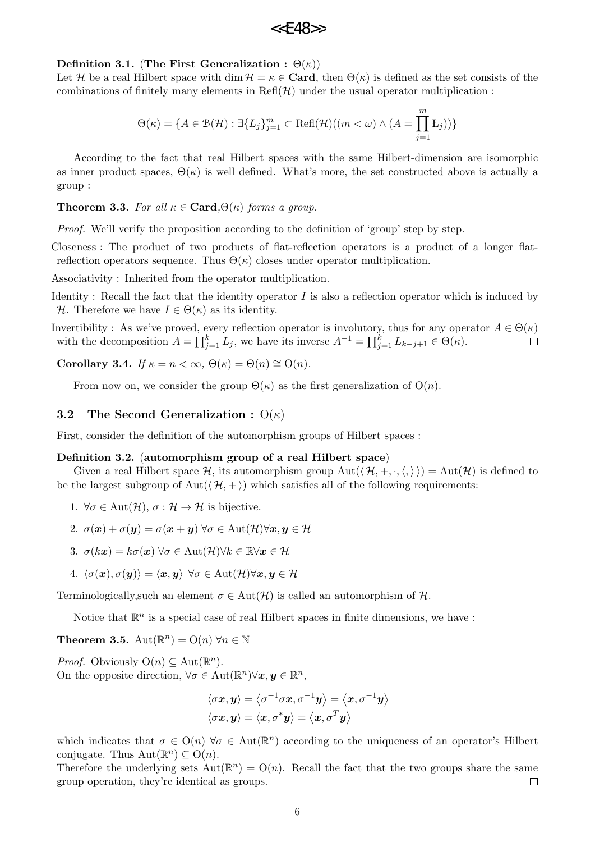$$
\texttt{<
$$

#### **Definition 3.1.** (The First Generalization :  $\Theta(\kappa)$ )

Let *H* be a real Hilbert space with dim  $H = \kappa \in \mathbf{Card}$ , then  $\Theta(\kappa)$  is defined as the set consists of the combinations of finitely many elements in  $\text{Ref}(\mathcal{H})$  under the usual operator multiplication :

$$
\Theta(\kappa) = \{ A \in \mathcal{B}(\mathcal{H}) : \exists \{ L_j \}_{j=1}^m \subset \text{Refl}(\mathcal{H})((m < \omega) \land (A = \prod_{j=1}^m L_j)) \}
$$

According to the fact that real Hilbert spaces with the same Hilbert-dimension are isomorphic as inner product spaces,  $\Theta(\kappa)$  is well defined. What's more, the set constructed above is actually a group :

**Theorem 3.3.** For all  $\kappa \in \mathbf{Card}$ , $\Theta(\kappa)$  forms a group.

*Proof.* We'll verify the proposition according to the definition of 'group' step by step.

Closeness : The product of two products of flat-reflection operators is a product of a longer flatreflection operators sequence. Thus  $\Theta(\kappa)$  closes under operator multiplication.

Associativity : Inherited from the operator multiplication.

Identity : Recall the fact that the identity operator *I* is also a reflection operator which is induced by *H*. Therefore we have  $I \in \Theta(\kappa)$  as its identity.

Invertibility : As we've proved, every reflection operator is involutory, thus for any operator  $A \in \Theta(\kappa)$ with the decomposition  $A = \prod_{j=1}^{k} L_j$ , we have its inverse  $A^{-1} = \prod_{j=1}^{k} L_{k-j+1} \in \Theta(\kappa)$ .  $\Box$ 

**Corollary 3.4.** *If*  $\kappa = n < \infty$ ,  $\Theta(\kappa) = \Theta(n) \cong O(n)$ .

From now on, we consider the group  $\Theta(\kappa)$  as the first generalization of  $O(n)$ .

### **3.2 The Second Generalization :** O(*κ*)

First, consider the definition of the automorphism groups of Hilbert spaces :

#### **Definition 3.2.** (**automorphism group of a real Hilbert space**)

Given a real Hilbert space  $H$ , its automorphism group  $Aut(\{H, +, \cdot, \langle, \rangle\}) = Aut(H)$  is defined to be the largest subgroup of  $Aut((\mathcal{H}, +))$  which satisfies all of the following requirements:

1.  $\forall \sigma \in \text{Aut}(\mathcal{H}), \sigma : \mathcal{H} \to \mathcal{H}$  is bijective.

2. 
$$
\sigma(\mathbf{x}) + \sigma(\mathbf{y}) = \sigma(\mathbf{x} + \mathbf{y}) \,\forall \sigma \in \text{Aut}(\mathcal{H}) \forall \mathbf{x}, \mathbf{y} \in \mathcal{H}
$$

- 3.  $\sigma(kx) = k\sigma(x) \,\forall \sigma \in \text{Aut}(\mathcal{H}) \forall k \in \mathbb{R} \forall x \in \mathcal{H}$
- 4.  $\langle \sigma(\mathbf{x}), \sigma(\mathbf{y}) \rangle = \langle \mathbf{x}, \mathbf{y} \rangle$   $\forall \sigma \in \text{Aut}(\mathcal{H}) \forall \mathbf{x}, \mathbf{y} \in \mathcal{H}$

Terminologically, such an element  $\sigma \in Aut(\mathcal{H})$  is called an automorphism of  $\mathcal{H}$ .

Notice that  $\mathbb{R}^n$  is a special case of real Hilbert spaces in finite dimensions, we have :

**Theorem 3.5.** Aut $(\mathbb{R}^n) = O(n)$   $\forall n \in \mathbb{N}$ 

*Proof.* Obviously  $O(n) \subseteq Aut(\mathbb{R}^n)$ . On the opposite direction,  $\forall \sigma \in \text{Aut}(\mathbb{R}^n) \forall x, y \in \mathbb{R}^n$ ,

$$
\langle \sigma {\bm x}, {\bm y} \rangle = \left\langle \sigma^{-1} \sigma {\bm x}, \sigma^{-1} {\bm y} \right\rangle = \left\langle {\bm x}, \sigma^{-1} {\bm y} \right\rangle \\ \langle \sigma {\bm x}, {\bm y} \rangle = \left\langle {\bm x}, \sigma^* {\bm y} \right\rangle = \left\langle {\bm x}, \sigma^T {\bm y} \right\rangle
$$

which indicates that  $\sigma \in O(n)$   $\forall \sigma \in Aut(\mathbb{R}^n)$  according to the uniqueness of an operator's Hilbert conjugate. Thus  $Aut(\mathbb{R}^n) \subseteq O(n)$ .

Therefore the underlying sets  $Aut(\mathbb{R}^n) = O(n)$ . Recall the fact that the two groups share the same group operation, they're identical as groups.  $\Box$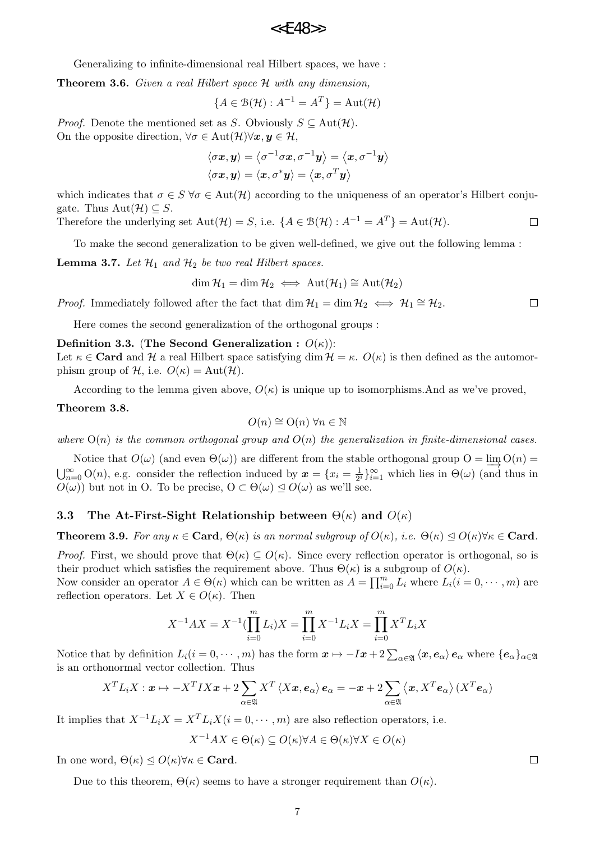Generalizing to infinite-dimensional real Hilbert spaces, we have :

**Theorem 3.6.** *Given a real Hilbert space H with any dimension,*

$$
\{A \in \mathcal{B}(\mathcal{H}) : A^{-1} = A^T\} = \text{Aut}(\mathcal{H})
$$

*Proof.* Denote the mentioned set as *S*. Obviously  $S \subseteq Aut(\mathcal{H})$ . On the opposite direction,  $\forall \sigma \in \text{Aut}(\mathcal{H}) \forall x, y \in \mathcal{H}$ ,

$$
\langle \sigma {\bm x}, {\bm y} \rangle = \big\langle \sigma^{-1} \sigma {\bm x}, \sigma^{-1} {\bm y} \big\rangle = \big\langle {\bm x}, \sigma^{-1} {\bm y} \big\rangle \\ \langle \sigma {\bm x}, {\bm y} \rangle = \langle {\bm x}, \sigma^* {\bm y} \rangle = \big\langle {\bm x}, \sigma^T {\bm y} \big\rangle
$$

which indicates that  $\sigma \in S \ \forall \sigma \in \text{Aut}(\mathcal{H})$  according to the uniqueness of an operator's Hilbert conjugate. Thus  $Aut(\mathcal{H}) \subseteq S$ .

Therefore the underlying set 
$$
\text{Aut}(\mathcal{H}) = S
$$
, i.e.  $\{A \in \mathcal{B}(\mathcal{H}) : A^{-1} = A^{T}\} = \text{Aut}(\mathcal{H})$ .

To make the second generalization to be given well-defined, we give out the following lemma :

**Lemma 3.7.** Let  $\mathcal{H}_1$  and  $\mathcal{H}_2$  be two real Hilbert spaces.

$$
\dim \mathcal{H}_1 = \dim \mathcal{H}_2 \iff \mathrm{Aut}(\mathcal{H}_1) \cong \mathrm{Aut}(\mathcal{H}_2)
$$

*Proof.* Immediately followed after the fact that dim  $\mathcal{H}_1 = \dim \mathcal{H}_2 \iff \mathcal{H}_1 \cong \mathcal{H}_2$ .  $\Box$ 

Here comes the second generalization of the orthogonal groups :

#### **Definition 3.3.** (The Second Generalization :  $O(\kappa)$ ):

Let  $\kappa \in \mathbf{Card}$  and  $\mathcal H$  a real Hilbert space satisfying dim  $\mathcal H = \kappa$ .  $O(\kappa)$  is then defined as the automorphism group of  $H$ , i.e.  $O(\kappa) = Aut(H)$ .

According to the lemma given above,  $O(\kappa)$  is unique up to isomorphisms.And as we've proved,

#### **Theorem 3.8.**

$$
O(n) \cong O(n) \,\forall n \in \mathbb{N}
$$

where  $O(n)$  is the common orthogonal group and  $O(n)$  the generalization in finite-dimensional cases.

Notice that  $O(\omega)$  (and even  $\Theta(\omega)$ ) are different from the stable orthogonal group  $O = \lim_{\omega \to 0} O(n) = \frac{O(\omega)}{n}$  $\bigcup_{n=0}^{\infty}$  O(*n*), e.g. consider the reflection induced by  $x = \{x_i = \frac{1}{2}\}$  $\frac{1}{2^i}$ } $\sum_{i=1}^{\infty}$  which lies in  $\Theta(\omega)$  (and thus in  $O(\omega)$ ) but not in O. To be precise,  $O \subset \Theta(\omega) \leq O(\omega)$  as we'll see.

### **3.3** The At-First-Sight Relationship between  $\Theta(\kappa)$  and  $O(\kappa)$

**Theorem 3.9.** For any  $\kappa \in \text{Card}, \Theta(\kappa)$  is an normal subgroup of  $O(\kappa)$ , i.e.  $\Theta(\kappa) \leq O(\kappa) \forall \kappa \in \text{Card}$ .

*Proof.* First, we should prove that  $\Theta(\kappa) \subseteq O(\kappa)$ . Since every reflection operator is orthogonal, so is their product which satisfies the requirement above. Thus  $\Theta(\kappa)$  is a subgroup of  $O(\kappa)$ .

Now consider an operator  $A \in \Theta(\kappa)$  which can be written as  $A = \prod_{i=0}^{m} L_i$  where  $L_i(i = 0, \dots, m)$  are reflection operators. Let  $X \in O(\kappa)$ . Then

$$
X^{-1}AX = X^{-1}(\prod_{i=0}^{m} L_i)X = \prod_{i=0}^{m} X^{-1}L_iX = \prod_{i=0}^{m} X^{T}L_iX
$$

Notice that by definition  $L_i(i=0,\dots,m)$  has the form  $\mathbf{x} \mapsto -I\mathbf{x}+2\sum_{\alpha\in\mathfrak{A}}\langle\mathbf{x},\mathbf{e}_{\alpha}\rangle\mathbf{e}_{\alpha}$  where  $\{\mathbf{e}_{\alpha}\}_{{\alpha\in\mathfrak{A}}}$ is an orthonormal vector collection. Thus

$$
X^{T}L_{i}X: \mathbf{x} \mapsto -X^{T}IX\mathbf{x}+2\sum_{\alpha \in \mathfrak{A}} X^{T} \langle X\mathbf{x}, \mathbf{e}_{\alpha} \rangle \mathbf{e}_{\alpha} = -\mathbf{x}+2\sum_{\alpha \in \mathfrak{A}} \langle \mathbf{x}, X^{T} \mathbf{e}_{\alpha} \rangle (X^{T} \mathbf{e}_{\alpha})
$$

It implies that  $X^{-1}L_iX = X^TL_iX$  ( $i = 0, \dots, m$ ) are also reflection operators, i.e.

$$
X^{-1}AX \in \Theta(\kappa) \subseteq O(\kappa) \forall A \in \Theta(\kappa) \forall X \in O(\kappa)
$$

In one word,  $\Theta(\kappa) \triangleleft O(\kappa) \forall \kappa \in \mathbf{Card}$ .

Due to this theorem,  $Θ(κ)$  seems to have a stronger requirement than  $O(κ)$ .

 $\Box$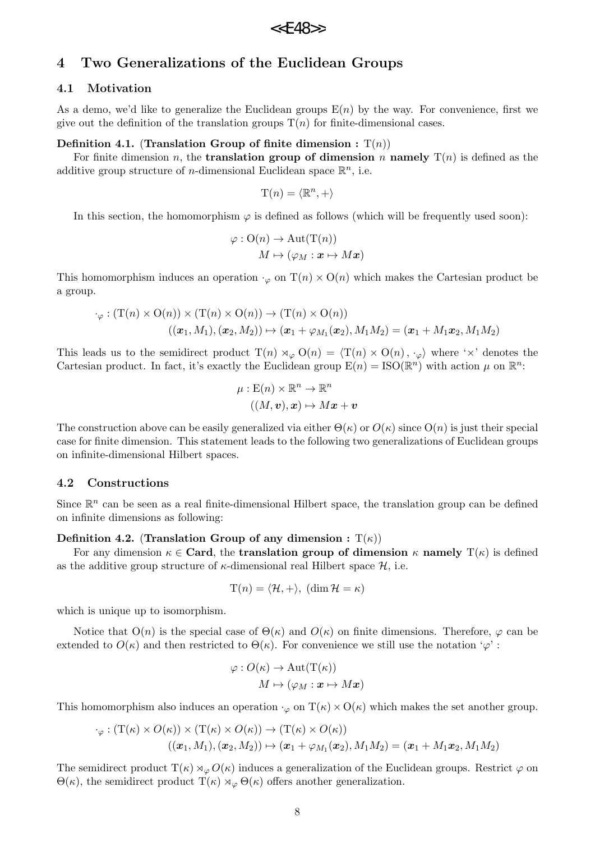# **4 Two Generalizations of the Euclidean Groups**

## **4.1 Motivation**

As a demo, we'd like to generalize the Euclidean groups  $E(n)$  by the way. For convenience, first we give out the definition of the translation groups  $T(n)$  for finite-dimensional cases.

## **Definition 4.1.** (Translation Group of finite dimension :  $T(n)$ )

For finite dimension *n*, the **translation group of dimension** *n* **namely**  $T(n)$  is defined as the additive group structure of *n*-dimensional Euclidean space  $\mathbb{R}^n$ , i.e.

$$
\mathcal{T}(n) = \langle \mathbb{R}^n, + \rangle
$$

In this section, the homomorphism  $\varphi$  is defined as follows (which will be frequently used soon):

$$
\varphi: \mathrm{O}(n) \to \mathrm{Aut}(\mathrm{T}(n))
$$

$$
M \mapsto (\varphi_M: \boldsymbol{x} \mapsto M\boldsymbol{x})
$$

This homomorphism induces an operation  $\cdot_{\varphi}$  on  $T(n) \times O(n)$  which makes the Cartesian product be a group.

$$
\cdot_{\varphi} : (\mathcal{T}(n) \times \mathcal{O}(n)) \times (\mathcal{T}(n) \times \mathcal{O}(n)) \to (\mathcal{T}(n) \times \mathcal{O}(n))
$$

$$
((\boldsymbol{x}_1, M_1), (\boldsymbol{x}_2, M_2)) \mapsto (\boldsymbol{x}_1 + \varphi_{M_1}(\boldsymbol{x}_2), M_1 M_2) = (\boldsymbol{x}_1 + M_1 \boldsymbol{x}_2, M_1 M_2)
$$

This leads us to the semidirect product  $T(n) \rtimes_{\varphi} O(n) = \langle T(n) \times O(n), \cdot_{\varphi} \rangle$  where ' $\times$ ' denotes the Cartesian product. In fact, it's exactly the Euclidean group  $E(n) = ISO(\mathbb{R}^n)$  with action  $\mu$  on  $\mathbb{R}^n$ .

$$
\mu: \mathcal{E}(n) \times \mathbb{R}^n \to \mathbb{R}^n
$$

$$
((M, v), x) \mapsto Mx + v
$$

The construction above can be easily generalized via either  $\Theta(\kappa)$  or  $O(\kappa)$  since  $O(n)$  is just their special case for finite dimension. This statement leads to the following two generalizations of Euclidean groups on infinite-dimensional Hilbert spaces.

## **4.2 Constructions**

Since  $\mathbb{R}^n$  can be seen as a real finite-dimensional Hilbert space, the translation group can be defined on infinite dimensions as following:

### **Definition 4.2.** (**Translation Group of any dimension :**  $T(\kappa)$ )

For any dimension  $\kappa \in \mathbf{Card}$ , the **translation group of dimension**  $\kappa$  **namely**  $T(\kappa)$  is defined as the additive group structure of  $\kappa$ -dimensional real Hilbert space  $\mathcal{H}$ , i.e.

$$
T(n) = \langle \mathcal{H}, + \rangle, (\dim \mathcal{H} = \kappa)
$$

which is unique up to isomorphism.

Notice that  $O(n)$  is the special case of  $\Theta(\kappa)$  and  $O(\kappa)$  on finite dimensions. Therefore,  $\varphi$  can be extended to  $O(\kappa)$  and then restricted to  $\Theta(\kappa)$ . For convenience we still use the notation ' $\varphi$ ':

$$
\varphi: O(\kappa) \to \text{Aut}(\text{T}(\kappa))
$$

$$
M \mapsto (\varphi_M: \bm{x} \mapsto M\bm{x})
$$

This homomorphism also induces an operation  $\cdot_{\varphi}$  on  $T(\kappa) \times O(\kappa)$  which makes the set another group.

$$
\cdot_{\varphi} : (\mathcal{T}(\kappa) \times O(\kappa)) \times (\mathcal{T}(\kappa) \times O(\kappa)) \to (\mathcal{T}(\kappa) \times O(\kappa))
$$

$$
((\boldsymbol{x}_1, M_1), (\boldsymbol{x}_2, M_2)) \mapsto (\boldsymbol{x}_1 + \varphi_{M_1}(\boldsymbol{x}_2), M_1 M_2) = (\boldsymbol{x}_1 + M_1 \boldsymbol{x}_2, M_1 M_2)
$$

The semidirect product  $T(\kappa) \rtimes_{\varphi} O(\kappa)$  induces a generalization of the Euclidean groups. Restrict  $\varphi$  on  $\Theta(\kappa)$ , the semidirect product  $T(\kappa) \rtimes_{\varphi} \Theta(\kappa)$  offers another generalization.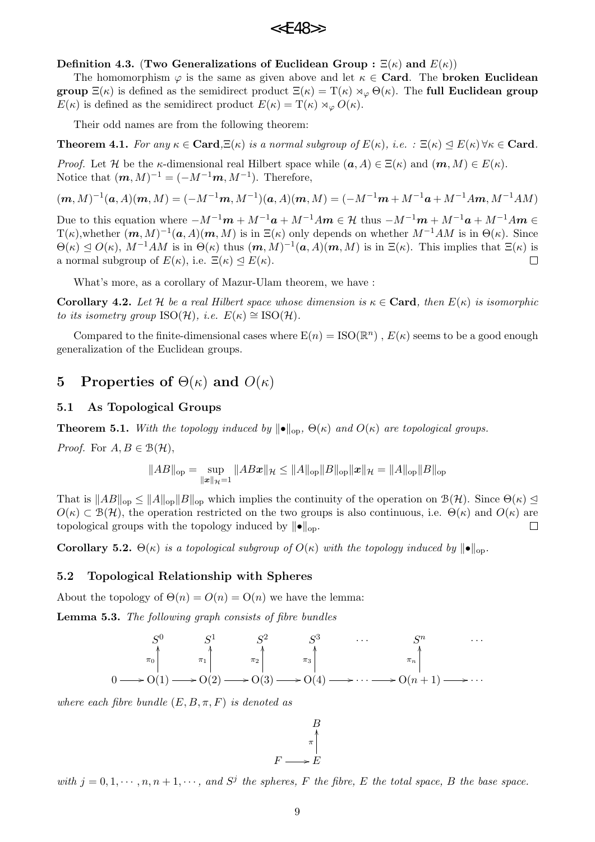#### **Definition 4.3.** (**Two Generalizations of Euclidean Group :**  $\Xi(\kappa)$  and  $E(\kappa)$ )

The homomorphism  $\varphi$  is the same as given above and let  $\kappa \in \mathbf{Card}$ . The **broken Euclidean group**  $\Xi(\kappa)$  is defined as the semidirect product  $\Xi(\kappa) = \mathrm{T}(\kappa) \rtimes_{\varphi} \Theta(\kappa)$ . The **full Euclidean group** *E*(*κ*) is defined as the semidirect product  $E(\kappa) = T(\kappa) \rtimes_{\varphi} O(\kappa)$ .

Their odd names are from the following theorem:

**Theorem 4.1.** For any  $\kappa \in \mathbf{Card}, \Xi(\kappa)$  is a normal subgroup of  $E(\kappa)$ , i.e.  $\Xi(\kappa) \triangleleft E(\kappa) \forall \kappa \in \mathbf{Card}$ .

*Proof.* Let *H* be the *κ*-dimensional real Hilbert space while  $(a, A) \in \Xi(\kappa)$  and  $(m, M) \in E(\kappa)$ . Notice that  $(m, M)^{-1} = (-M^{-1}m, M^{-1})$ . Therefore,

$$
(\mathbf{m}, M)^{-1}(\mathbf{a}, A)(\mathbf{m}, M) = (-M^{-1}\mathbf{m}, M^{-1})(\mathbf{a}, A)(\mathbf{m}, M) = (-M^{-1}\mathbf{m} + M^{-1}\mathbf{a} + M^{-1}A\mathbf{m}, M^{-1}AM)
$$

Due to this equation where  $-M^{-1}\mathbf{m} + M^{-1}\mathbf{a} + M^{-1}Am \in \mathcal{H}$  thus  $-M^{-1}\mathbf{m} + M^{-1}\mathbf{a} + M^{-1}Am \in \mathcal{H}$  $T(\kappa)$ , whether  $(m, M)^{-1}(a, A)(m, M)$  is in  $\Xi(\kappa)$  only depends on whether  $M^{-1}AM$  is in  $\Theta(\kappa)$ . Since  $\Theta(\kappa) \leq O(\kappa)$ ,  $M^{-1}AM$  is in  $\Theta(\kappa)$  thus  $(m, M)^{-1}(a, A)(m, M)$  is in  $\Xi(\kappa)$ . This implies that  $\Xi(\kappa)$  is a normal subgroup of  $E(\kappa)$ , i.e.  $E(\kappa) \triangleleft E(\kappa)$ .  $\Box$ 

What's more, as a corollary of Mazur-Ulam theorem, we have :

**Corollary 4.2.** Let H be a real Hilbert space whose dimension is  $\kappa \in \mathbf{Card}$ , then  $E(\kappa)$  is isomorphic *to its isometry group*  $ISO(\mathcal{H})$ *, i.e.*  $E(\kappa) \cong ISO(\mathcal{H})$ *.* 

Compared to the finite-dimensional cases where  $E(n) = ISO(\mathbb{R}^n)$ ,  $E(\kappa)$  seems to be a good enough generalization of the Euclidean groups.

## **5** Properties of  $\Theta(\kappa)$  and  $O(\kappa)$

#### **5.1 As Topological Groups**

**Theorem 5.1.** *With the topology induced by*  $||\bullet||_{op}$ ,  $\Theta(\kappa)$  *and*  $O(\kappa)$  *are topological groups.* 

*Proof.* For  $A, B \in \mathcal{B}(\mathcal{H})$ ,

$$
||AB||_{op} = \sup_{||\bm{x}||_{\mathcal{H}}=1} ||AB\bm{x}||_{\mathcal{H}} \le ||A||_{op}||B||_{op}||\bm{x}||_{\mathcal{H}} = ||A||_{op}||B||_{op}
$$

That is  $||AB||_{op} \le ||A||_{op} ||B||_{op}$  which implies the continuity of the operation on  $\mathcal{B}(\mathcal{H})$ . Since  $\Theta(\kappa) \le$  $O(\kappa) \subset \mathcal{B}(\mathcal{H})$ , the operation restricted on the two groups is also continuous, i.e.  $\Theta(\kappa)$  and  $O(\kappa)$  are topological groups with the topology induced by *∥•∥*op.  $\Box$ 

**Corollary 5.2.**  $\Theta(\kappa)$  *is a topological subgroup of*  $O(\kappa)$  *with the topology induced by*  $||\bullet||_{op}$ .

## **5.2 Topological Relationship with Spheres**

About the topology of  $\Theta(n) = O(n) = O(n)$  we have the lemma:

**Lemma 5.3.** *The following graph consists of fibre bundles*



*where each fibre bundle* (*E, B, π, F*) *is denoted as*

*B*  $F \longrightarrow E$ *π* OO

with  $j = 0, 1, \dots, n, n + 1, \dots$ , and  $S^j$  the spheres, F the fibre, E the total space, B the base space.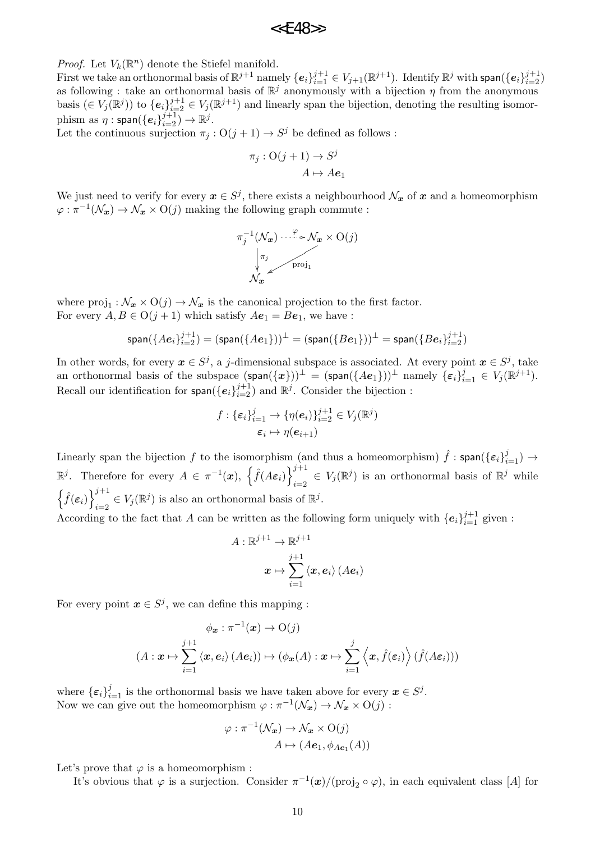*Proof.* Let  $V_k(\mathbb{R}^n)$  denote the Stiefel manifold.

First we take an orthonormal basis of  $\mathbb{R}^{j+1}$  namely  $\{e_i\}_{i=1}^{j+1}\in V_{j+1}(\mathbb{R}^{j+1})$ . Identify  $\mathbb{R}^j$  with  $\mathsf{span}(\{e_i\}_{i=2}^{j+1})$ as following : take an orthonormal basis of R as following: take an orthonormal basis of  $\mathbb{R}^j$  anonymously with a bijection *η* from the anonymous basis  $(\in V_j(\mathbb{R}^j))$  to  $\{e_i\}_{i=2}^{j+1} \in V_j(\mathbb{R}^{j+1})$  and linearly span the bijection, denoting the resulting isomor- $\text{phism as } \eta: \textsf{span}(\{e_i\}_{i=2}^{j+1}) \to \mathbb{R}^j.$ 

Let the continuous surjection  $\pi_j$  :  $O(j + 1) \rightarrow S^j$  be defined as follows :

$$
\pi_j: \mathcal{O}(j+1) \to S^j
$$

$$
A \mapsto Ae_1
$$

We just need to verify for every  $x \in S^j$ , there exists a neighbourhood  $\mathcal{N}_x$  of  $x$  and a homeomorphism  $\varphi$  :  $\pi^{-1}(\mathcal{N}_x) \to \mathcal{N}_x \times O(j)$  making the following graph commute :



where  $proj_1 : \mathcal{N}_x \times O(j) \to \mathcal{N}_x$  is the canonical projection to the first factor. For every  $A, B \in O(j + 1)$  which satisfy  $Ae_1 = Be_1$ , we have :

$$
\textsf{span}(\{A\bm{e}_i\}_{i=2}^{j+1})=(\textsf{span}(\{A\bm{e}_1\}))^\perp=(\textsf{span}(\{B\bm{e}_1\}))^\perp=\textsf{span}(\{B\bm{e}_i\}_{i=2}^{j+1})
$$

In other words, for every  $x \in S^j$ , a *j*-dimensional subspace is associated. At every point  $x \in S^j$ , take an orthonormal basis of the subspace  $(\textsf{span}(\{\bm{x}\}))^{\perp} = (\textsf{span}(\{A\bm{e}_1\}))^{\perp}$  namely  $\{\bm{\varepsilon}_i\}_{i=1}^j \in V_j(\mathbb{R}^{j+1})$ . Recall our identification for  $\textsf{span}(\{e_i\}_{i=2}^{j+1})$  and  $\mathbb{R}^j$ . Consider the bijection :

$$
f: \{\varepsilon_i\}_{i=1}^j \to \{\eta(\boldsymbol{e}_i)\}_{i=2}^{j+1} \in V_j(\mathbb{R}^j)
$$

$$
\varepsilon_i \mapsto \eta(\boldsymbol{e}_{i+1})
$$

Linearly span the bijection *f* to the isomorphism (and thus a homeomorphism)  $\hat{f}$  : span( $\{\varepsilon_i\}_{i=1}^j$ )  $\rightarrow$  $\mathbb{R}^j$ . Therefore for every  $A \in \pi^{-1}(\boldsymbol{x})$ ,  $\left\{ \hat{f}(A\boldsymbol{\varepsilon}_i) \right\}_{i=0}^{j+1}$  $i=2$   $\in V_j(\mathbb{R}^j)$  is an orthonormal basis of  $\mathbb{R}^j$  while  $\left\{\hat{f}(\boldsymbol{\varepsilon}_i)\right\}_{i=1}^{j+1}$  $i=2$   $\in V_j(\mathbb{R}^j)$  is also an orthonormal basis of  $\mathbb{R}^j$ . According to the fact that *A* can be written as the following form uniquely with  ${e_i}_{i=1}^{j+1}$  given:

$$
\begin{aligned} A: \mathbb{R}^{j+1} &\rightarrow \mathbb{R}^{j+1} \\ x &\mapsto \sum_{i=1}^{j+1} \left\langle x, e_i \right\rangle (Ae_i) \end{aligned}
$$

For every point  $x \in S^j$ , we can define this mapping :

$$
\phi_{\boldsymbol{x}} : \pi^{-1}(\boldsymbol{x}) \to O(j)
$$

$$
(A: \boldsymbol{x} \mapsto \sum_{i=1}^{j+1} \langle \boldsymbol{x}, e_i \rangle (Ae_i)) \mapsto (\phi_{\boldsymbol{x}}(A): \boldsymbol{x} \mapsto \sum_{i=1}^{j} \langle \boldsymbol{x}, \hat{f}(\varepsilon_i) \rangle (\hat{f}(A\varepsilon_i)))
$$

where  ${\{\varepsilon_i\}}_{i=1}^j$  is the orthonormal basis we have taken above for every  $x \in S^j$ . Now we can give out the homeomorphism  $\varphi : \pi^{-1}(\mathcal{N}_x) \to \mathcal{N}_x \times O(j)$ :

$$
\varphi : \pi^{-1}(\mathcal{N}_x) \to \mathcal{N}_x \times \mathrm{O}(j)
$$

$$
A \mapsto (A\mathbf{e}_1, \phi_{A\mathbf{e}_1}(A))
$$

Let's prove that  $\varphi$  is a homeomorphism :

It's obvious that  $\varphi$  is a surjection. Consider  $\pi^{-1}(x)/(\text{proj}_2 \circ \varphi)$ , in each equivalent class [*A*] for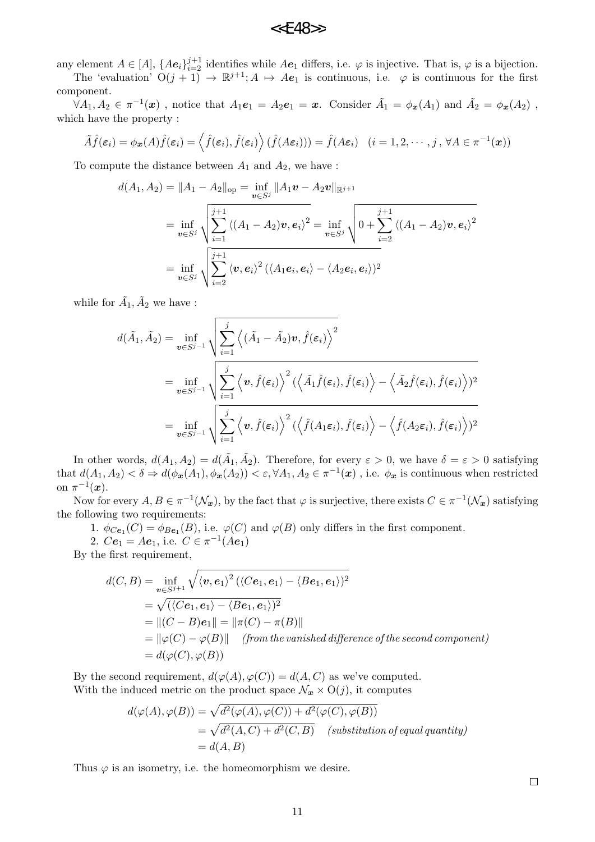any element  $A \in [A]$ ,  $\{Ae_i\}_{i=2}^{j+1}$  identifies while  $Ae_1$  differs, i.e.  $\varphi$  is injective. That is,  $\varphi$  is a bijection.

The 'evaluation'  $O(j + 1) \rightarrow \mathbb{R}^{j+1}$ ;  $A \mapsto Ae_1$  is continuous, i.e.  $\varphi$  is continuous for the first component.

 $\forall A_1, A_2 \in \pi^{-1}(\boldsymbol{x})$ , notice that  $A_1e_1 = A_2e_1 = \boldsymbol{x}$ . Consider  $\tilde{A}_1 = \phi_{\boldsymbol{x}}(A_1)$  and  $\tilde{A}_2 = \phi_{\boldsymbol{x}}(A_2)$ , which have the property :

$$
\tilde{A}\hat{f}(\varepsilon_i) = \phi_{\boldsymbol{x}}(A)\hat{f}(\varepsilon_i) = \left\langle \hat{f}(\varepsilon_i), \hat{f}(\varepsilon_i) \right\rangle (\hat{f}(A\varepsilon_i)) = \hat{f}(A\varepsilon_i) \quad (i = 1, 2, \cdots, j, \forall A \in \pi^{-1}(\boldsymbol{x}))
$$

To compute the distance between  $A_1$  and  $A_2$ , we have :

$$
d(A_1, A_2) = ||A_1 - A_2||_{op} = \inf_{\boldsymbol{v} \in S^j} ||A_1 \boldsymbol{v} - A_2 \boldsymbol{v}||_{\mathbb{R}^{j+1}}
$$
  
= 
$$
\inf_{\boldsymbol{v} \in S^j} \sqrt{\sum_{i=1}^{j+1} \langle (A_1 - A_2) \boldsymbol{v}, e_i \rangle^2} = \inf_{\boldsymbol{v} \in S^j} \sqrt{0 + \sum_{i=2}^{j+1} \langle (A_1 - A_2) \boldsymbol{v}, e_i \rangle^2}
$$
  
= 
$$
\inf_{\boldsymbol{v} \in S^j} \sqrt{\sum_{i=2}^{j+1} \langle \boldsymbol{v}, e_i \rangle^2 (\langle A_1 e_i, e_i \rangle - \langle A_2 e_i, e_i \rangle)^2}
$$

while for  $\tilde{A}_1, \tilde{A}_2$  we have :

$$
d(\tilde{A}_{1}, \tilde{A}_{2}) = \inf_{\mathbf{v} \in S^{j-1}} \sqrt{\sum_{i=1}^{j} \left\langle (\tilde{A}_{1} - \tilde{A}_{2}) \mathbf{v}, \hat{f}(\varepsilon_{i}) \right\rangle^{2}}
$$
  
= 
$$
\inf_{\mathbf{v} \in S^{j-1}} \sqrt{\sum_{i=1}^{j} \left\langle \mathbf{v}, \hat{f}(\varepsilon_{i}) \right\rangle^{2} (\left\langle \tilde{A}_{1} \hat{f}(\varepsilon_{i}), \hat{f}(\varepsilon_{i}) \right\rangle - \left\langle \tilde{A}_{2} \hat{f}(\varepsilon_{i}), \hat{f}(\varepsilon_{i}) \right\rangle)^{2}}
$$
  
= 
$$
\inf_{\mathbf{v} \in S^{j-1}} \sqrt{\sum_{i=1}^{j} \left\langle \mathbf{v}, \hat{f}(\varepsilon_{i}) \right\rangle^{2} (\left\langle \hat{f}(A_{1}\varepsilon_{i}), \hat{f}(\varepsilon_{i}) \right\rangle - \left\langle \hat{f}(A_{2}\varepsilon_{i}), \hat{f}(\varepsilon_{i}) \right\rangle)^{2}}
$$

In other words,  $d(A_1, A_2) = d(\tilde{A}_1, \tilde{A}_2)$ . Therefore, for every  $\varepsilon > 0$ , we have  $\delta = \varepsilon > 0$  satisfying that  $d(A_1, A_2) < \delta \Rightarrow d(\phi_x(A_1), \phi_x(A_2)) < \varepsilon, \forall A_1, A_2 \in \pi^{-1}(x)$ , i.e.  $\phi_x$  is continuous when restricted on  $\pi^{-1}(\boldsymbol{x})$ .

Now for every  $A, B \in \pi^{-1}(\mathcal{N}_x)$ , by the fact that  $\varphi$  is surjective, there exists  $C \in \pi^{-1}(\mathcal{N}_x)$  satisfying the following two requirements:

1.  $\phi_{Ce_1}(C) = \phi_{Be_1}(B)$ , i.e.  $\varphi(C)$  and  $\varphi(B)$  only differs in the first component.

2.  $Ce_1 = Ae_1$ , i.e.  $C \in \pi^{-1}(Ae_1)$ 

By the first requirement,

$$
d(C, B) = \inf_{\mathbf{v} \in S^{j+1}} \sqrt{\langle \mathbf{v}, \mathbf{e}_1 \rangle^2 (\langle Ce_1, \mathbf{e}_1 \rangle - \langle Be_1, \mathbf{e}_1 \rangle)^2}
$$
  
=  $\sqrt{(\langle Ce_1, \mathbf{e}_1 \rangle - \langle Be_1, \mathbf{e}_1 \rangle)^2}$   
=  $||(C - B)\mathbf{e}_1|| = ||\pi(C) - \pi(B)||$   
=  $||\varphi(C) - \varphi(B)||$  (from the vanished difference of the second component)  
=  $d(\varphi(C), \varphi(B))$ 

By the second requirement,  $d(\varphi(A), \varphi(C)) = d(A, C)$  as we've computed. With the induced metric on the product space  $\mathcal{N}_x \times O(j)$ , it computes

$$
d(\varphi(A), \varphi(B)) = \sqrt{d^2(\varphi(A), \varphi(C)) + d^2(\varphi(C), \varphi(B))}
$$
  
=  $\sqrt{d^2(A, C) + d^2(C, B)}$  (substitution of equal quantity)  
=  $d(A, B)$ 

Thus  $\varphi$  is an isometry, i.e. the homeomorphism we desire.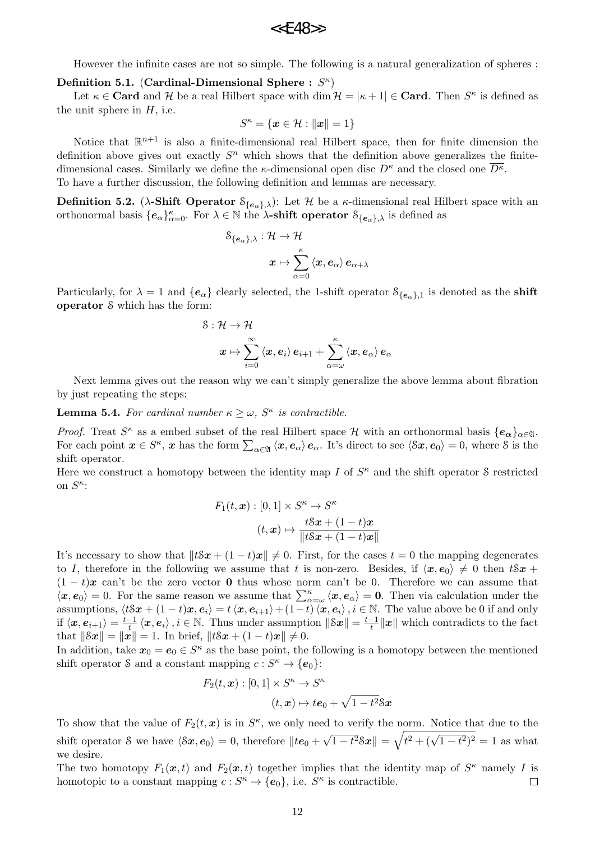However the infinite cases are not so simple. The following is a natural generalization of spheres :

**Definition 5.1.** (Cardinal-Dimensional Sphere:  $S^{\kappa}$ )

Let  $\kappa \in \mathbf{Card}$  and  $\mathcal{H}$  be a real Hilbert space with dim  $\mathcal{H} = |\kappa + 1| \in \mathbf{Card}$ . Then  $S^{\kappa}$  is defined as the unit sphere in *H*, i.e.

$$
S^{\kappa} = \{ \boldsymbol{x} \in \mathcal{H} : ||\boldsymbol{x}|| = 1 \}
$$

Notice that  $\mathbb{R}^{n+1}$  is also a finite-dimensional real Hilbert space, then for finite dimension the definition above gives out exactly  $S<sup>n</sup>$  which shows that the definition above generalizes the finitedimensional cases. Similarly we define the *κ*-dimensional open disc  $D^{\kappa}$  and the closed one  $\overline{D^{\kappa}}$ . To have a further discussion, the following definition and lemmas are necessary.

**Definition 5.2.** (*λ***-Shift Operator**  $\mathcal{S}_{\{e_{\alpha}\}\}\lambda}$ ): Let *H* be a *κ*-dimensional real Hilbert space with an orthonormal basis  ${e_{\alpha}}_{\alpha=0}^{\kappa}$ . For  $\lambda \in \mathbb{N}$  the  $\lambda$ -shift operator  $S_{\{e_{\alpha}\},\lambda}$  is defined as

$$
\begin{aligned} \mathcal{S}_{\{\boldsymbol e_\alpha\},\lambda} & : \mathcal{H} \to \mathcal{H} \\ x & \mapsto \sum_{\alpha=0}^\kappa \left\langle \boldsymbol x, \boldsymbol e_\alpha \right\rangle \boldsymbol e_{\alpha+\lambda} \end{aligned}
$$

Particularly, for  $\lambda = 1$  and  $\{e_{\alpha}\}\$  clearly selected, the 1-shift operator  $\mathcal{S}_{\{e_{\alpha}\},1}\$  is denoted as the **shift operator** S which has the form:

$$
\begin{aligned} \mathcal{S}: \mathcal{H} &\rightarrow \mathcal{H} \\ x &\mapsto \sum_{i=0}^{\infty}\braket{x, e_i}{e_{i+1}} + \sum_{\alpha=\omega}^{\kappa}\braket{x, e_{\alpha}}{e_{\alpha}} \end{aligned}
$$

Next lemma gives out the reason why we can't simply generalize the above lemma about fibration by just repeating the steps:

**Lemma 5.4.** For cardinal number  $\kappa \geq \omega$ ,  $S^{\kappa}$  is contractible.

*Proof.* Treat  $S^{\kappa}$  as a embed subset of the real Hilbert space  $H$  with an orthonormal basis  $\{e_{\alpha}\}_{{\alpha}\in\mathfrak{A}}$ . For each point  $x \in S^{\kappa}$ , x has the form  $\sum_{\alpha \in \mathfrak{A}} \langle x, e_{\alpha} \rangle e_{\alpha}$ . It's direct to see  $\langle \delta x, e_0 \rangle = 0$ , where  $\delta$  is the shift operator.

Here we construct a homotopy between the identity map *I* of  $S<sup>\kappa</sup>$  and the shift operator S restricted on  $S^{\kappa}$ :

$$
F_1(t, \mathbf{x}) : [0, 1] \times S^{\kappa} \to S^{\kappa}
$$

$$
(t, \mathbf{x}) \mapsto \frac{t \mathcal{S} \mathbf{x} + (1 - t)\mathbf{x}}{\|t \mathcal{S} \mathbf{x} + (1 - t)\mathbf{x}\|}
$$

It's necessary to show that  $||tSx + (1-t)x|| \neq 0$ . First, for the cases  $t = 0$  the mapping degenerates to *I*, therefore in the following we assume that *t* is non-zero. Besides, if  $\langle x, e_0 \rangle \neq 0$  then  $t \delta x +$  $(1 - t)x$  can't be the zero vector **0** thus whose norm can't be 0. Therefore we can assume that  $\langle x, e_0 \rangle = 0$ . For the same reason we assume that  $\sum_{\alpha=\omega}^{\kappa} \langle x, e_{\alpha} \rangle = 0$ . Then via calculation under the assumptions,  $\langle t\mathcal{S}x + (1-t)x, e_i \rangle = t\langle x, e_{i+1} \rangle + (1-t)\langle x, e_i \rangle, i \in \mathbb{N}$ . The value above be 0 if and only if  $\langle x, e_{i+1} \rangle = \frac{t-1}{t} \langle x, e_i \rangle$ ,  $i \in \mathbb{N}$ . Thus under assumption  $\|\mathcal{S}x\| = \frac{t-1}{t} \|x\|$  which contradicts to the fact that  $||Sx|| = ||x|| = 1$ . In brief,  $||tSx + (1-t)x|| \neq 0$ .

In addition, take  $x_0 = e_0 \in S^{\kappa}$  as the base point, the following is a homotopy between the mentioned shift operator S and a constant mapping  $c: S^{\kappa} \to \{e_0\}$ :

$$
F_2(t, \mathbf{x}) : [0, 1] \times S^{\kappa} \to S^{\kappa}
$$

$$
(t, \mathbf{x}) \mapsto t\mathbf{e}_0 + \sqrt{1 - t^2} \mathbf{S} \mathbf{x}
$$

To show that the value of  $F_2(t, x)$  is in  $S^{\kappa}$ , we only need to verify the norm. Notice that due to the shift operator S we have  $\langle \delta x, e_0 \rangle = 0$ , therefore  $||te_0 +$ *√*  $\sqrt{t^2 + (t^2 + 1)}$ *√*  $(1-t^2)^2 = 1$  as what we desire.

The two homotopy  $F_1(x,t)$  and  $F_2(x,t)$  together implies that the identity map of  $S^{\kappa}$  namely *I* is homotopic to a constant mapping  $c: S^{\kappa} \to \{e_0\}$ , i.e.  $S^{\kappa}$  is contractible.  $\Box$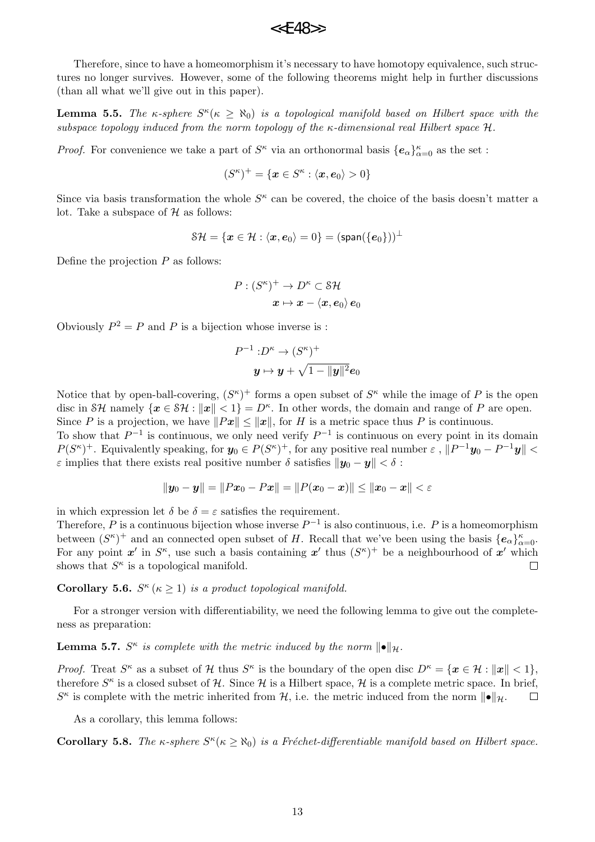Therefore, since to have a homeomorphism it's necessary to have homotopy equivalence, such structures no longer survives. However, some of the following theorems might help in further discussions (than all what we'll give out in this paper).

**Lemma 5.5.** *The κ*-sphere  $S^{\kappa}(\kappa \ge \aleph_0)$  *is a topological manifold based on Hilbert space with the subspace topology induced from the norm topology of the κ-dimensional real Hilbert space H.*

*Proof.* For convenience we take a part of  $S^{\kappa}$  via an orthonormal basis  $\{e_{\alpha}\}_{\alpha=0}^{\kappa}$  as the set :

$$
(S^{\kappa})^{+} = \{ \boldsymbol{x} \in S^{\kappa} : \langle \boldsymbol{x}, \boldsymbol{e}_0 \rangle > 0 \}
$$

Since via basis transformation the whole  $S^{\kappa}$  can be covered, the choice of the basis doesn't matter a lot. Take a subspace of *H* as follows:

$$
\mathcal{SH}=\{\boldsymbol{x}\in\mathcal{H}: \langle \boldsymbol{x},\boldsymbol{e}_0\rangle=0\}=(\mathsf{span}(\{\boldsymbol{e}_0\}))^\perp
$$

Define the projection *P* as follows:

$$
\begin{aligned} P:(S^\kappa)^+ &\to D^\kappa \subset \mathbb{S}\mathcal{H} \\ x &\mapsto x - \langle x, e_0\rangle \, e_0 \end{aligned}
$$

Obviously  $P^2 = P$  and *P* is a bijection whose inverse is :

$$
P^{-1}: D^{\kappa} \to (S^{\kappa})^+
$$

$$
\boldsymbol{y} \mapsto \boldsymbol{y} + \sqrt{1 - \|\boldsymbol{y}\|^2} \boldsymbol{e}_0
$$

Notice that by open-ball-covering,  $(S^{\kappa})^+$  forms a open subset of  $S^{\kappa}$  while the image of P is the open disc in SH namely  $\{\mathbf{x} \in \mathcal{SH} : \|\mathbf{x}\| < 1\} = D^{\kappa}$ . In other words, the domain and range of P are open. Since *P* is a projection, we have  $||Px|| \le ||x||$ , for *H* is a metric space thus *P* is continuous.

To show that *P −*1 is continuous, we only need verify *P −*1 is continuous on every point in its domain  $P(S^{\kappa})^+$ . Equivalently speaking, for  $y_0 \in P(S^{\kappa})^+$ , for any positive real number  $\varepsilon$ ,  $||P^{-1}y_0 - P^{-1}y|| <$ *ε* implies that there exists real positive number  $\delta$  satisfies  $||y_0 - y|| < \delta$ :

$$
||y_0 - y|| = ||Px_0 - Px|| = ||P(x_0 - x)|| \le ||x_0 - x|| < \varepsilon
$$

in which expression let  $\delta$  be  $\delta = \varepsilon$  satisfies the requirement.

Therefore, *P* is a continuous bijection whose inverse *P −*1 is also continuous, i.e. *P* is a homeomorphism between  $(S^{\kappa})^+$  and an connected open subset of *H*. Recall that we've been using the basis  $\{e_{\alpha}\}_{\alpha=0}^{\kappa}$ . For any point  $x'$  in  $S^{\kappa}$ , use such a basis containing  $x'$  thus  $(S^{\kappa})^+$  be a neighbourhood of  $x'$  which shows that  $S^{\kappa}$  is a topological manifold.  $\Box$ 

## **Corollary 5.6.**  $S^{\kappa}$  ( $\kappa \geq 1$ ) *is a product topological manifold.*

For a stronger version with differentiability, we need the following lemma to give out the completeness as preparation:

# **Lemma 5.7.**  $S^{\kappa}$  is complete with the metric induced by the norm  $\|\bullet\|_{\mathcal{H}}$ .

*Proof.* Treat  $S^{\kappa}$  as a subset of  $H$  thus  $S^{\kappa}$  is the boundary of the open disc  $D^{\kappa} = \{x \in H : ||x|| < 1\}$ , therefore  $S^{\kappa}$  is a closed subset of  $H$ . Since  $H$  is a Hilbert space,  $H$  is a complete metric space. In brief,  $S^{\kappa}$  is complete with the metric inherited from *H*, i.e. the metric induced from the norm  $\|\bullet\|_{\mathcal{H}}$ .  $\Box$ 

As a corollary, this lemma follows:

**Corollary 5.8.** *The*  $\kappa$ -sphere  $S^{\kappa}(\kappa \geq \aleph_0)$  *is a Fréchet-differentiable manifold based on Hilbert space.*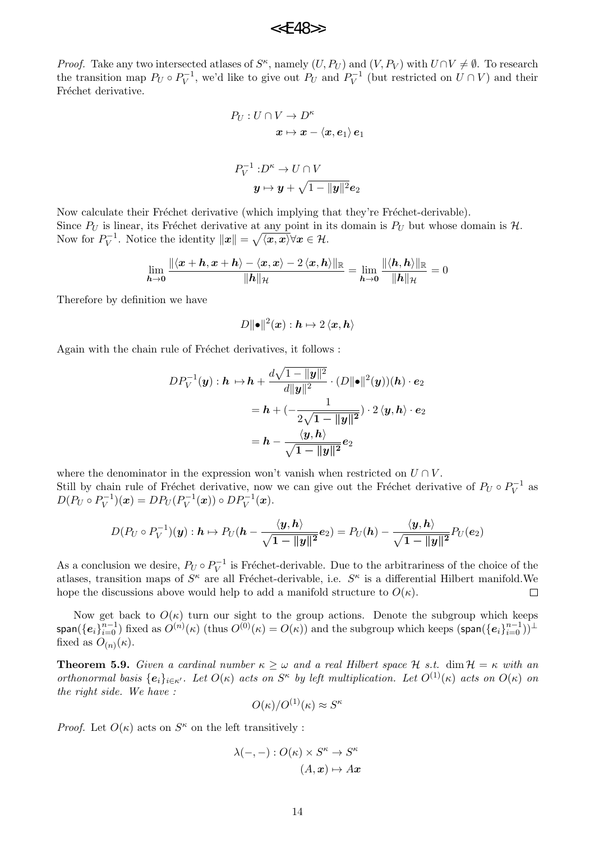*Proof.* Take any two intersected atlases of  $S^{\kappa}$ , namely  $(U, P_U)$  and  $(V, P_V)$  with  $U \cap V \neq \emptyset$ . To research the transition map  $P_U \circ P_V^{-1}$ , we'd like to give out  $P_U$  and  $P_V^{-1}$  (but restricted on  $U \cap V$ ) and their Fréchet derivative.

$$
P_U: U \cap V \to D^{\kappa}
$$

$$
\boldsymbol{x} \mapsto \boldsymbol{x} - \langle \boldsymbol{x}, \boldsymbol{e}_1 \rangle \, \boldsymbol{e}_1
$$

$$
P_V^{-1}: D^{\kappa} \to U \cap V
$$

$$
\boldsymbol{y} \mapsto \boldsymbol{y} + \sqrt{1 - \|\boldsymbol{y}\|^2} \boldsymbol{e}_2
$$

Now calculate their Fréchet derivative (which implying that they're Fréchet-derivable). Since  $P_U$  is linear, its Fréchet derivative at any point in its domain is  $P_U$  but whose domain is  $H$ . Now for  $P_V^{-1}$ . Notice the identity  $||x|| = \sqrt{\langle x, x \rangle} \forall x \in \mathcal{H}$ .

$$
\lim_{\bm{h}\to\bm{0}}\frac{\|\langle\bm{x}+\bm{h},\bm{x}+\bm{h}\rangle-\langle\bm{x},\bm{x}\rangle-2\,\langle\bm{x},\bm{h}\rangle\|_{\mathbb{R}}}{\|\bm{h}\|_{\mathcal{H}}}=\lim_{\bm{h}\to\bm{0}}\frac{\|\langle\bm{h},\bm{h}\rangle\|_{\mathbb{R}}}{\|\bm{h}\|_{\mathcal{H}}}=0
$$

Therefore by definition we have

 $D$ *∥* $\bullet$  $\parallel$ <sup>2</sup> $(\boldsymbol{x})$  :  $\boldsymbol{h} \mapsto 2 \braket{\boldsymbol{x}, \boldsymbol{h}}$ 

Again with the chain rule of Fréchet derivatives, it follows :

$$
DP_V^{-1}(\mathbf{y}) : \mathbf{h} \mapsto \mathbf{h} + \frac{d\sqrt{1 - \|\mathbf{y}\|^2}}{d\|\mathbf{y}\|^2} \cdot (D\|\bullet\|^2(\mathbf{y}))( \mathbf{h}) \cdot \mathbf{e}_2
$$
  
=  $\mathbf{h} + \left(-\frac{1}{2\sqrt{1 - \|\mathbf{y}\|^2}}\right) \cdot 2 \langle \mathbf{y}, \mathbf{h} \rangle \cdot \mathbf{e}_2$   
=  $\mathbf{h} - \frac{\langle \mathbf{y}, \mathbf{h} \rangle}{\sqrt{1 - \|\mathbf{y}\|^2}} \mathbf{e}_2$ 

where the denominator in the expression won't vanish when restricted on  $U \cap V$ . Still by chain rule of Fréchet derivative, now we can give out the Fréchet derivative of  $P_U \circ P_V^{-1}$  as  $D(P_U \circ P_V^{-1})(\mathbf{x}) = DP_U(P_V^{-1}(\mathbf{x})) \circ DP_V^{-1}(\mathbf{x}).$ 

$$
D(P_U \circ P_V^{-1})(\boldsymbol{y}) : \boldsymbol{h} \mapsto P_U(\boldsymbol{h} - \frac{\langle \boldsymbol{y}, \boldsymbol{h} \rangle}{\sqrt{1 - \|\boldsymbol{y}\|^2}} \boldsymbol{e}_2) = P_U(\boldsymbol{h}) - \frac{\langle \boldsymbol{y}, \boldsymbol{h} \rangle}{\sqrt{1 - \|\boldsymbol{y}\|^2}} P_U(\boldsymbol{e}_2)
$$

As a conclusion we desire,  $P_U \circ P_V^{-1}$  is Fréchet-derivable. Due to the arbitrariness of the choice of the atlases, transition maps of  $S^{\kappa}$  are all Fréchet-derivable, i.e.  $S^{\kappa}$  is a differential Hilbert manifold. We hope the discussions above would help to add a manifold structure to  $O(\kappa)$ .  $\Box$ 

Now get back to  $O(\kappa)$  turn our sight to the group actions. Denote the subgroup which keeps  $\mathsf{span}(\{\bm{e}_i\}_{i=0}^{n-1})$  fixed as  $O^{(n)}(\kappa)$  (thus  $O^{(0)}(\kappa)=O(\kappa))$  and the subgroup which keeps  $(\mathsf{span}(\{\bm{e}_i\}_{i=0}^{n-1}))^\perp$ fixed as  $O_{(n)}(\kappa)$ .

**Theorem 5.9.** *Given a cardinal number*  $\kappa \geq \omega$  *and a real Hilbert space*  $\mathcal{H}$  *s.t.* dim  $\mathcal{H} = \kappa$  *with an* orthonormal basis  $\{e_i\}_{i\in\kappa'}$ . Let  $O(\kappa)$  acts on  $S^{\kappa}$  by left multiplication. Let  $O^{(1)}(\kappa)$  acts on  $O(\kappa)$  on *the right side. We have :*

$$
O(\kappa)/O^{(1)}(\kappa) \approx S^{\kappa}
$$

*Proof.* Let  $O(\kappa)$  acts on  $S^{\kappa}$  on the left transitively :

$$
\lambda(-,-): O(\kappa) \times S^{\kappa} \to S^{\kappa}
$$

$$
(A, x) \mapsto A x
$$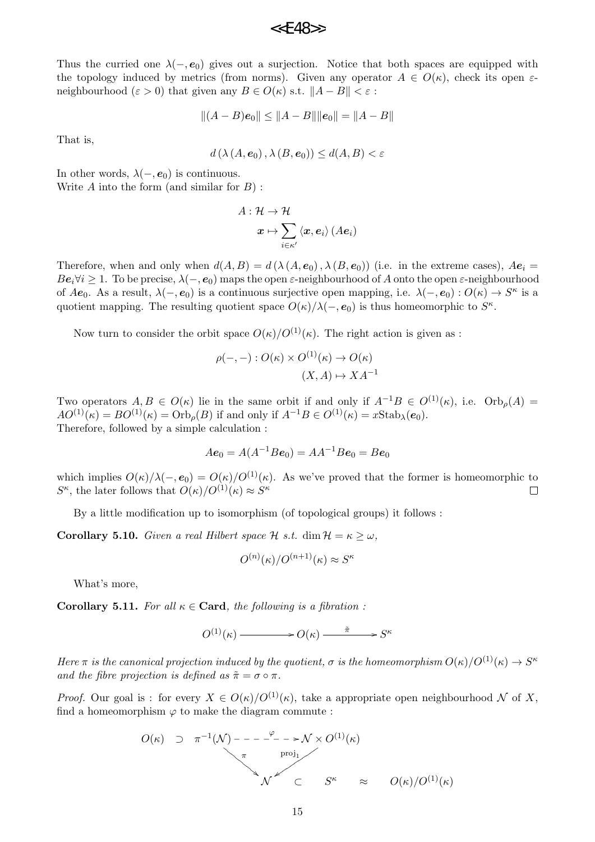Thus the curried one  $\lambda(-, e_0)$  gives out a surjection. Notice that both spaces are equipped with the topology induced by metrics (from norms). Given any operator  $A \in O(\kappa)$ , check its open  $\varepsilon$ neighbourhood ( $\varepsilon > 0$ ) that given any  $B \in O(\kappa)$  s.t.  $||A - B|| < \varepsilon$ :

$$
||(A - B)e_0|| \le ||A - B|| ||e_0|| = ||A - B||
$$

That is,

$$
d\left(\lambda\left(A,\mathbf{e}_0\right),\lambda\left(B,\mathbf{e}_0\right)\right)\leq d(A,B)<\varepsilon
$$

In other words,  $\lambda(-, e_0)$  is continuous.

Write *A* into the form (and similar for *B*) :

$$
A:\mathcal{H}\rightarrow \mathcal{H}
$$

$$
\boldsymbol{x}\mapsto \sum_{i\in \kappa'}\left\langle \boldsymbol{x},\boldsymbol{e}_i\right\rangle(A\boldsymbol{e}_i)
$$

Therefore, when and only when  $d(A, B) = d(\lambda(A, e_0), \lambda(B, e_0))$  (i.e. in the extreme cases),  $Ae_i$  $Be_i \forall i \geq 1$ . To be precise,  $\lambda(-, e_0)$  maps the open *ε*-neighbourhood of *A* onto the open *ε*-neighbourhood of  $Ae_0$ . As a result,  $\lambda(-, e_0)$  is a continuous surjective open mapping, i.e.  $\lambda(-, e_0) : O(\kappa) \to S^{\kappa}$  is a quotient mapping. The resulting quotient space  $O(\kappa)/\lambda(-,e_0)$  is thus homeomorphic to  $S^{\kappa}$ .

Now turn to consider the orbit space  $O(\kappa)/O^{(1)}(\kappa)$ . The right action is given as :

$$
\rho(-,-): O(\kappa) \times O^{(1)}(\kappa) \to O(\kappa)
$$
  

$$
(X,A) \mapsto XA^{-1}
$$

Two operators  $A, B \in O(\kappa)$  lie in the same orbit if and only if  $A^{-1}B \in O^{(1)}(\kappa)$ , i.e.  $Orb<sub>o</sub>(A)$  $AO^{(1)}(\kappa) = BO^{(1)}(\kappa) = \text{Orb}_o(B)$  if and only if  $A^{-1}B \in O^{(1)}(\kappa) = x\text{Stab}_\lambda(e_0).$ Therefore, followed by a simple calculation :

$$
Ae_0 = A(A^{-1}Be_0) = AA^{-1}Be_0 = Be_0
$$

which implies  $O(\kappa)/\lambda(-,e_0) = O(\kappa)/O^{(1)}(\kappa)$ . As we've proved that the former is homeomorphic to *S*<sup>*κ*</sup>, the later follows that  $O(\kappa)/O^{(1)}(\kappa) \approx S^{\kappa}$  $\Box$ 

By a little modification up to isomorphism (of topological groups) it follows :

**Corollary 5.10.** *Given a real Hilbert space*  $H$  *s.t.* dim  $H = \kappa \geq \omega$ *,* 

$$
O^{(n)}(\kappa)/O^{(n+1)}(\kappa) \approx S^{\kappa}
$$

What's more,

**Corollary 5.11.** For all  $\kappa \in \text{Card}$ , the following is a fibration :

 $O^{(1)}(\kappa) \longrightarrow O(\kappa) \stackrel{\tilde{\pi}}{\longrightarrow} S^{\kappa}$ 

*Here*  $\pi$  *is the canonical projection induced by the quotient,*  $\sigma$  *is the homeomorphism*  $O(\kappa)/O^{(1)}(\kappa) \to S^{\kappa}$ *and the fibre projection is defined as*  $\tilde{\pi} = \sigma \circ \pi$ .

*Proof.* Our goal is : for every  $X \in O(\kappa)/O^{(1)}(\kappa)$ , take a appropriate open neighbourhood  $N$  of X, find a homeomorphism  $\varphi$  to make the diagram commute :

$$
O(\kappa) \supset \pi^{-1}(\mathcal{N}) \longrightarrow - \longrightarrow - \longrightarrow \mathcal{N} \times O^{(1)}(\kappa)
$$
\n
$$
\pi \longrightarrow \text{proj}_{1} \qquad \qquad \downarrow \qquad \qquad \mathcal{N} \qquad \subset \qquad S^{\kappa} \qquad \approx \qquad O(\kappa) / O^{(1)}(\kappa)
$$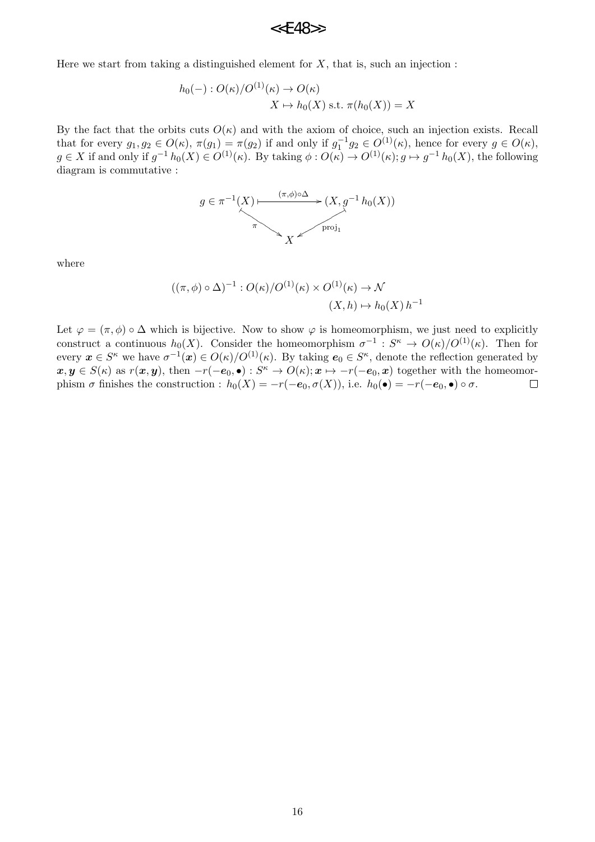## $<<$ F48>>

Here we start from taking a distinguished element for  $X$ , that is, such an injection :

$$
h_0(-): O(\kappa)/O^{(1)}(\kappa) \to O(\kappa)
$$
  

$$
X \mapsto h_0(X) \text{ s.t. } \pi(h_0(X)) = X
$$

By the fact that the orbits cuts  $O(\kappa)$  and with the axiom of choice, such an injection exists. Recall that for every  $g_1, g_2 \in O(\kappa)$ ,  $\pi(g_1) = \pi(g_2)$  if and only if  $g_1^{-1}g_2 \in O^{(1)}(\kappa)$ , hence for every  $g \in O(\kappa)$ ,  $g \in X$  if and only if  $g^{-1}h_0(X) \in O^{(1)}(\kappa)$ . By taking  $\phi: O(\kappa) \to O^{(1)}(\kappa); g \mapsto g^{-1}h_0(X)$ , the following diagram is commutative :



where

$$
((\pi,\phi) \circ \Delta)^{-1} : O(\kappa)/O^{(1)}(\kappa) \times O^{(1)}(\kappa) \to \mathcal{N}
$$
  

$$
(X,h) \mapsto h_0(X) h^{-1}
$$

Let  $\varphi = (\pi, \phi) \circ \Delta$  which is bijective. Now to show  $\varphi$  is homeomorphism, we just need to explicitly construct a continuous  $h_0(X)$ . Consider the homeomorphism  $\sigma^{-1}: S^{\kappa} \to O(\kappa)/O^{(1)}(\kappa)$ . Then for every  $x \in S^{\kappa}$  we have  $\sigma^{-1}(x) \in O(\kappa)/O^{(1)}(\kappa)$ . By taking  $e_0 \in S^{\kappa}$ , denote the reflection generated by  $x, y \in S(\kappa)$  as  $r(x, y)$ , then  $-r(-e_0, \bullet): S^{\kappa} \to O(\kappa); x \mapsto -r(-e_0, x)$  together with the homeomorphism  $\sigma$  finishes the construction :  $h_0(X) = -r(-e_0, \sigma(X))$ , i.e.  $h_0(\bullet) = -r(-e_0, \bullet) \circ \sigma$ .  $\Box$